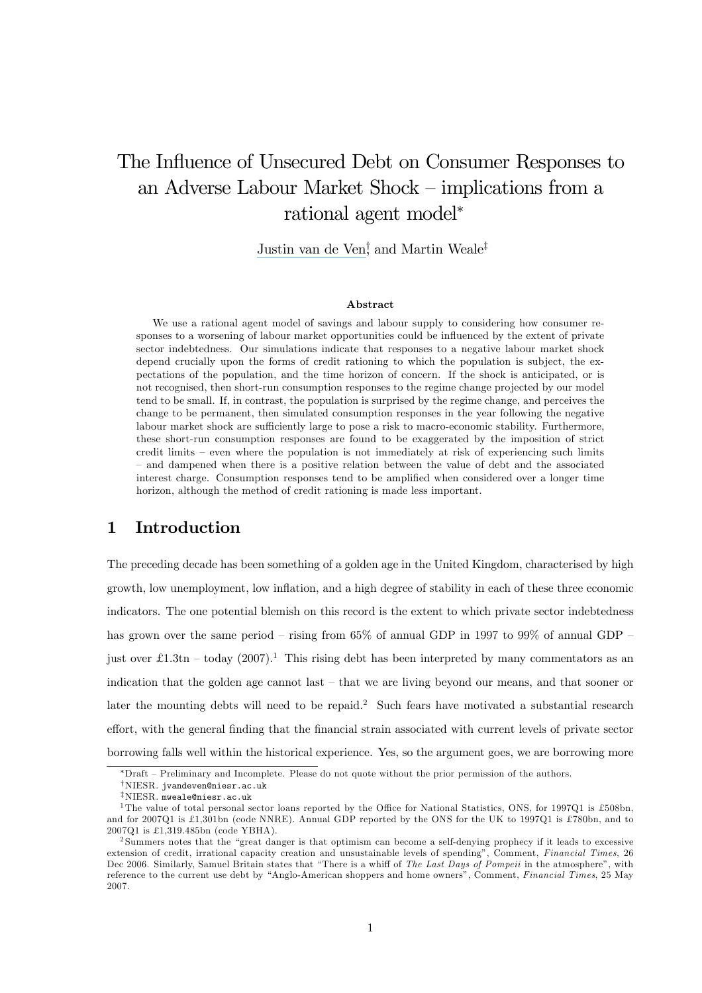# The Influence of Unsecured Debt on Consumer Responses to an Adverse Labour Market Shock — implications from a rational agent model<sup>∗</sup>

[Justin van de Ven](https://www.researchgate.net/profile/Justin_Van_de_Ven?el=1_x_100&enrichId=rgreq-15c9e48b068511c7a462e67019249f79-XXX&enrichSource=Y292ZXJQYWdlOzUyMDA2NTg7QVM6OTkxNzIxNDEyNDAzNDhAMTQwMDY1NTg5MDM5Nw==)<sup>†</sup>, and Martin Weale<sup>‡</sup>

#### Abstract

We use a rational agent model of savings and labour supply to considering how consumer responses to a worsening of labour market opportunities could be influenced by the extent of private sector indebtedness. Our simulations indicate that responses to a negative labour market shock depend crucially upon the forms of credit rationing to which the population is subject, the expectations of the population, and the time horizon of concern. If the shock is anticipated, or is not recognised, then short-run consumption responses to the regime change projected by our model tend to be small. If, in contrast, the population is surprised by the regime change, and perceives the change to be permanent, then simulated consumption responses in the year following the negative labour market shock are sufficiently large to pose a risk to macro-economic stability. Furthermore, these short-run consumption responses are found to be exaggerated by the imposition of strict credit limits — even where the population is not immediately at risk of experiencing such limits — and dampened when there is a positive relation between the value of debt and the associated interest charge. Consumption responses tend to be amplified when considered over a longer time horizon, although the method of credit rationing is made less important.

### 1 Introduction

The preceding decade has been something of a golden age in the United Kingdom, characterised by high growth, low unemployment, low inflation, and a high degree of stability in each of these three economic indicators. The one potential blemish on this record is the extent to which private sector indebtedness has grown over the same period – rising from  $65\%$  of annual GDP in 1997 to 99% of annual GDP – just over £1.3tn – today (2007).<sup>1</sup> This rising debt has been interpreted by many commentators as an indication that the golden age cannot last — that we are living beyond our means, and that sooner or later the mounting debts will need to be repaid.<sup>2</sup> Such fears have motivated a substantial research effort, with the general finding that the financial strain associated with current levels of private sector borrowing falls well within the historical experience. Yes, so the argument goes, we are borrowing more

<sup>∗</sup>Draft — Preliminary and Incomplete. Please do not quote without the prior permission of the authors.

<sup>†</sup>NIESR. jvandeven@niesr.ac.uk

 $\rm$ <sup>‡</sup>NIESR. mweale@niesr.ac.uk<br><sup>1</sup>The value of total personal sector loans reported by the Office for National Statistics, ONS, for 1997Q1 is £508bn. and for 2007Q1 is £1,301bn (code NNRE). Annual GDP reported by the ONS for the UK to 1997Q1 is £780bn, and to 2007Q1 is £1,319.485bn (code YBHA).

<sup>&</sup>lt;sup>2</sup> Summers notes that the "great danger is that optimism can become a self-denying prophecy if it leads to excessive extension of credit, irrational capacity creation and unsustainable levels of spending", Comment, Financial Times, 26 Dec 2006. Similarly, Samuel Britain states that "There is a whiff of The Last Days of Pompeii in the atmosphere", with reference to the current use debt by "Anglo-American shoppers and home owners", Comment, Financial Times, 25 May 2007.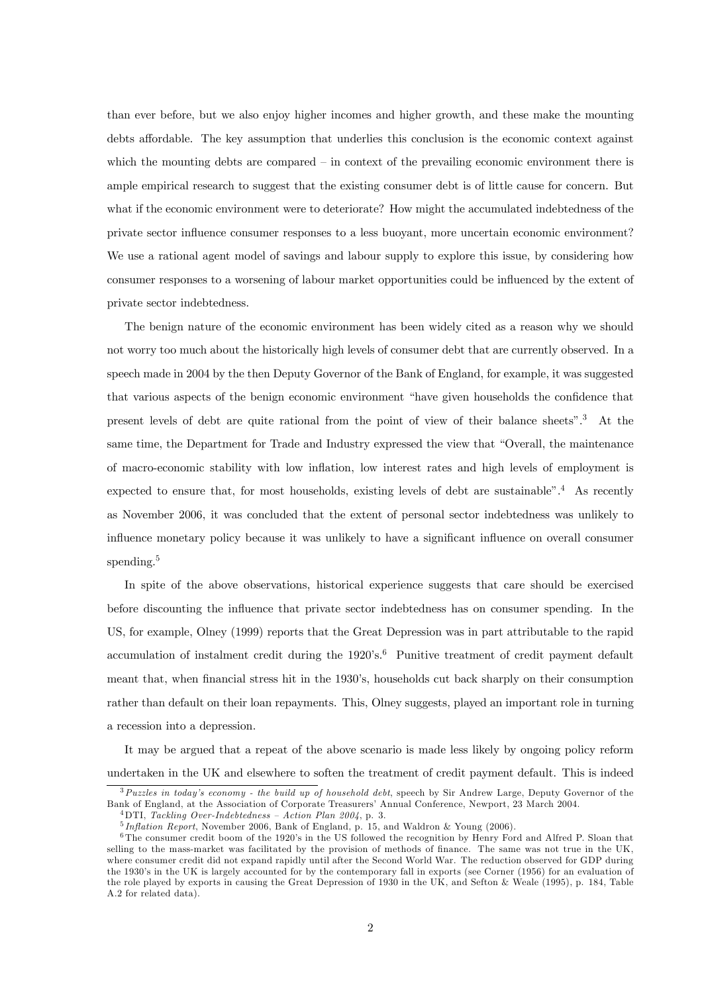than ever before, but we also enjoy higher incomes and higher growth, and these make the mounting debts affordable. The key assumption that underlies this conclusion is the economic context against which the mounting debts are compared — in context of the prevailing economic environment there is ample empirical research to suggest that the existing consumer debt is of little cause for concern. But what if the economic environment were to deteriorate? How might the accumulated indebtedness of the private sector influence consumer responses to a less buoyant, more uncertain economic environment? We use a rational agent model of savings and labour supply to explore this issue, by considering how consumer responses to a worsening of labour market opportunities could be influenced by the extent of private sector indebtedness.

The benign nature of the economic environment has been widely cited as a reason why we should not worry too much about the historically high levels of consumer debt that are currently observed. In a speech made in 2004 by the then Deputy Governor of the Bank of England, for example, it was suggested that various aspects of the benign economic environment "have given households the confidence that present levels of debt are quite rational from the point of view of their balance sheets".3 At the same time, the Department for Trade and Industry expressed the view that "Overall, the maintenance of macro-economic stability with low inflation, low interest rates and high levels of employment is expected to ensure that, for most households, existing levels of debt are sustainable".<sup>4</sup> As recently as November 2006, it was concluded that the extent of personal sector indebtedness was unlikely to influence monetary policy because it was unlikely to have a significant influence on overall consumer spending.<sup>5</sup>

In spite of the above observations, historical experience suggests that care should be exercised before discounting the influence that private sector indebtedness has on consumer spending. In the US, for example, Olney (1999) reports that the Great Depression was in part attributable to the rapid accumulation of instalment credit during the  $1920's$ .<sup>6</sup> Punitive treatment of credit payment default meant that, when financial stress hit in the 1930's, households cut back sharply on their consumption rather than default on their loan repayments. This, Olney suggests, played an important role in turning a recession into a depression.

It may be argued that a repeat of the above scenario is made less likely by ongoing policy reform undertaken in the UK and elsewhere to soften the treatment of credit payment default. This is indeed

 $3$ Puzzles in today's economy - the build up of household debt, speech by Sir Andrew Large, Deputy Governor of the Bank of England, at the Association of Corporate Treasurers' Annual Conference, Newport, 23 March 2004.

 $^{4}$ DTI, Tackling Over-Indebtedness – Action Plan 2004, p. 3.

<sup>5</sup> Inflation Report, November 2006, Bank of England, p. 15, and Waldron & Young (2006).

<sup>&</sup>lt;sup>6</sup>The consumer credit boom of the 1920's in the US followed the recognition by Henry Ford and Alfred P. Sloan that selling to the mass-market was facilitated by the provision of methods of finance. The same was not true in the UK, where consumer credit did not expand rapidly until after the Second World War. The reduction observed for GDP during the 1930's in the UK is largely accounted for by the contemporary fall in exports (see Corner (1956) for an evaluation of the role played by exports in causing the Great Depression of 1930 in the UK, and Sefton & Weale (1995), p. 184, Table A.2 for related data).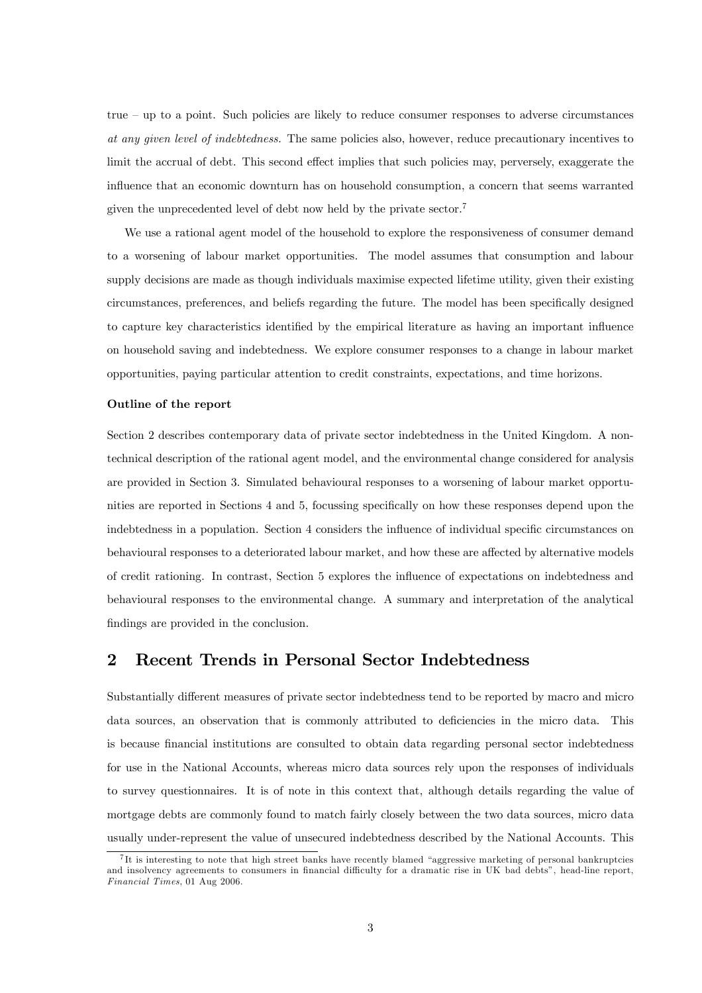true — up to a point. Such policies are likely to reduce consumer responses to adverse circumstances at any given level of indebtedness. The same policies also, however, reduce precautionary incentives to limit the accrual of debt. This second effect implies that such policies may, perversely, exaggerate the influence that an economic downturn has on household consumption, a concern that seems warranted given the unprecedented level of debt now held by the private sector.7

We use a rational agent model of the household to explore the responsiveness of consumer demand to a worsening of labour market opportunities. The model assumes that consumption and labour supply decisions are made as though individuals maximise expected lifetime utility, given their existing circumstances, preferences, and beliefs regarding the future. The model has been specifically designed to capture key characteristics identified by the empirical literature as having an important influence on household saving and indebtedness. We explore consumer responses to a change in labour market opportunities, paying particular attention to credit constraints, expectations, and time horizons.

#### Outline of the report

Section 2 describes contemporary data of private sector indebtedness in the United Kingdom. A nontechnical description of the rational agent model, and the environmental change considered for analysis are provided in Section 3. Simulated behavioural responses to a worsening of labour market opportunities are reported in Sections 4 and 5, focussing specifically on how these responses depend upon the indebtedness in a population. Section 4 considers the influence of individual specific circumstances on behavioural responses to a deteriorated labour market, and how these are affected by alternative models of credit rationing. In contrast, Section 5 explores the influence of expectations on indebtedness and behavioural responses to the environmental change. A summary and interpretation of the analytical findings are provided in the conclusion.

### 2 Recent Trends in Personal Sector Indebtedness

Substantially different measures of private sector indebtedness tend to be reported by macro and micro data sources, an observation that is commonly attributed to deficiencies in the micro data. This is because financial institutions are consulted to obtain data regarding personal sector indebtedness for use in the National Accounts, whereas micro data sources rely upon the responses of individuals to survey questionnaires. It is of note in this context that, although details regarding the value of mortgage debts are commonly found to match fairly closely between the two data sources, micro data usually under-represent the value of unsecured indebtedness described by the National Accounts. This

<sup>7</sup> It is interesting to note that high street banks have recently blamed "aggressive marketing of personal bankruptcies and insolvency agreements to consumers in financial difficulty for a dramatic rise in UK bad debts", head-line report, Financial Times, 01 Aug 2006.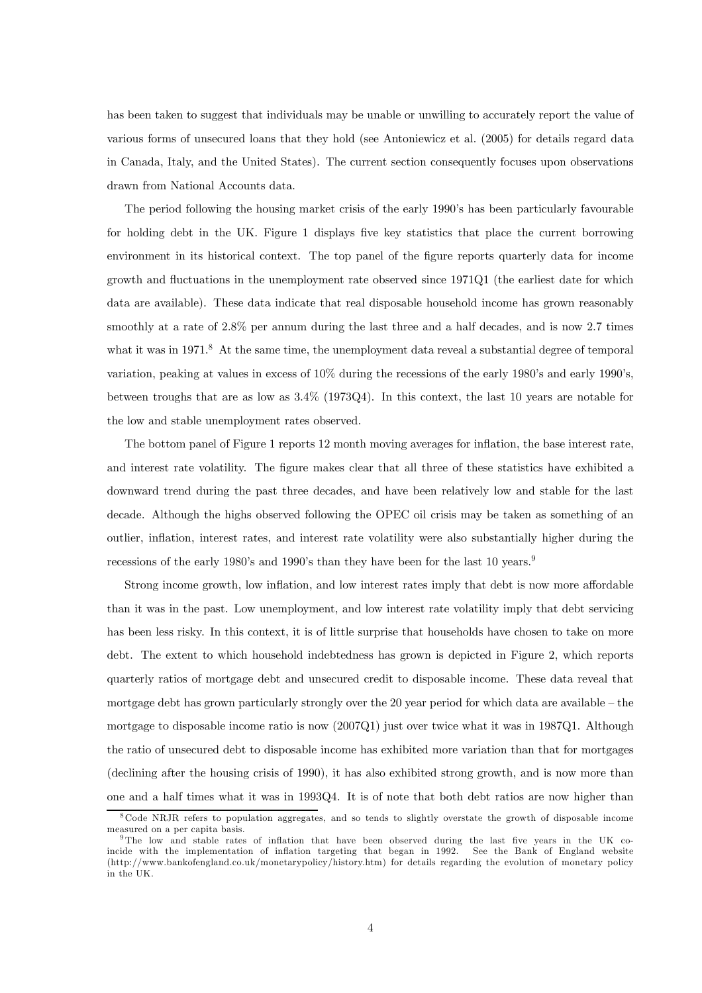has been taken to suggest that individuals may be unable or unwilling to accurately report the value of various forms of unsecured loans that they hold (see Antoniewicz et al. (2005) for details regard data in Canada, Italy, and the United States). The current section consequently focuses upon observations drawn from National Accounts data.

The period following the housing market crisis of the early 1990's has been particularly favourable for holding debt in the UK. Figure 1 displays five key statistics that place the current borrowing environment in its historical context. The top panel of the figure reports quarterly data for income growth and fluctuations in the unemployment rate observed since 1971Q1 (the earliest date for which data are available). These data indicate that real disposable household income has grown reasonably smoothly at a rate of  $2.8\%$  per annum during the last three and a half decades, and is now 2.7 times what it was in 1971.<sup>8</sup> At the same time, the unemployment data reveal a substantial degree of temporal variation, peaking at values in excess of 10% during the recessions of the early 1980's and early 1990's, between troughs that are as low as 3.4% (1973Q4). In this context, the last 10 years are notable for the low and stable unemployment rates observed.

The bottom panel of Figure 1 reports 12 month moving averages for inflation, the base interest rate, and interest rate volatility. The figure makes clear that all three of these statistics have exhibited a downward trend during the past three decades, and have been relatively low and stable for the last decade. Although the highs observed following the OPEC oil crisis may be taken as something of an outlier, inflation, interest rates, and interest rate volatility were also substantially higher during the recessions of the early 1980's and 1990's than they have been for the last 10 years.<sup>9</sup>

Strong income growth, low inflation, and low interest rates imply that debt is now more affordable than it was in the past. Low unemployment, and low interest rate volatility imply that debt servicing has been less risky. In this context, it is of little surprise that households have chosen to take on more debt. The extent to which household indebtedness has grown is depicted in Figure 2, which reports quarterly ratios of mortgage debt and unsecured credit to disposable income. These data reveal that mortgage debt has grown particularly strongly over the 20 year period for which data are available — the mortgage to disposable income ratio is now (2007Q1) just over twice what it was in 1987Q1. Although the ratio of unsecured debt to disposable income has exhibited more variation than that for mortgages (declining after the housing crisis of 1990), it has also exhibited strong growth, and is now more than one and a half times what it was in 1993Q4. It is of note that both debt ratios are now higher than

<sup>8</sup>Code NRJR refers to population aggregates, and so tends to slightly overstate the growth of disposable income measured on a per capita basis.

<sup>9</sup>The low and stable rates of inflation that have been observed during the last five years in the UK coincide with the implementation of inflation targeting that began in 1992. See the Bank of England website (http://www.bankofengland.co.uk/monetarypolicy/history.htm) for details regarding the evolution of monetary policy in the UK.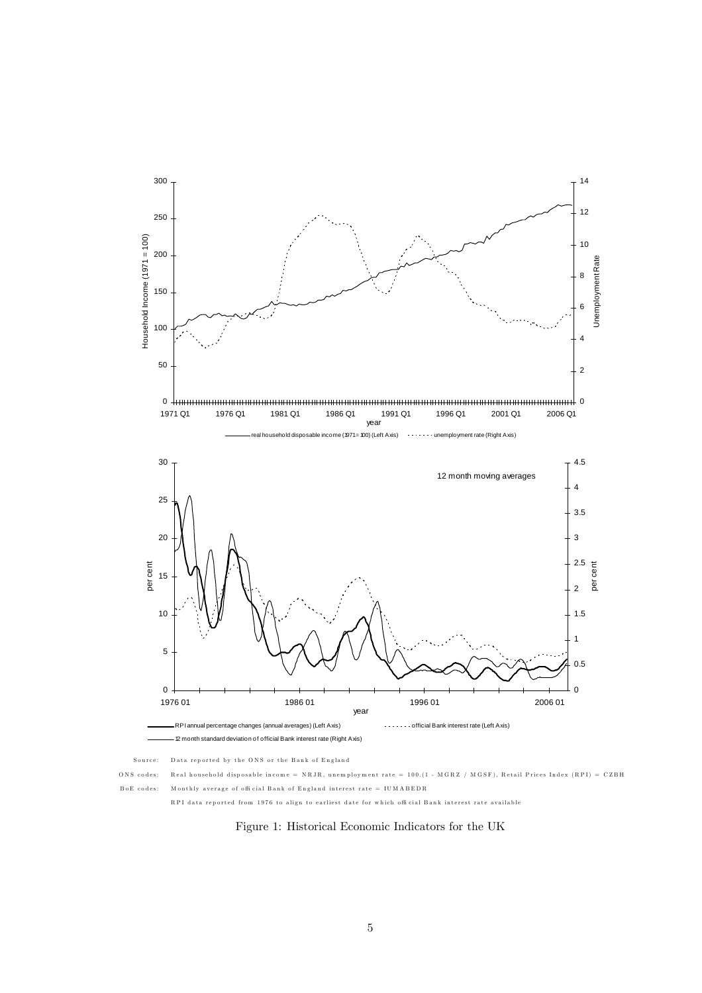

Figure 1: Historical Economic Indicators for the UK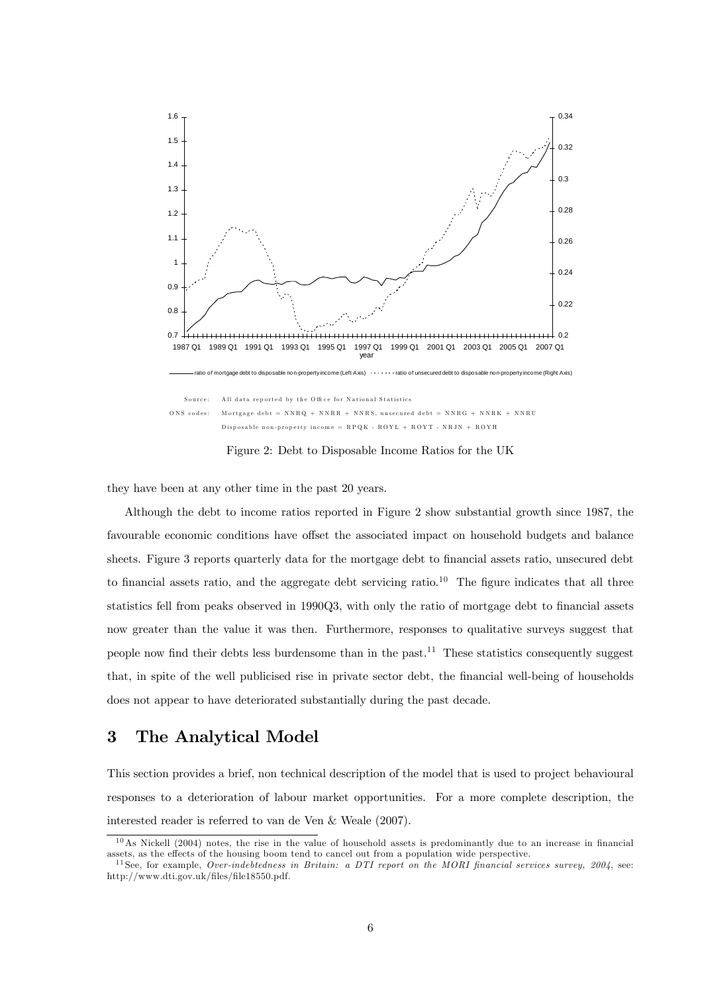

Figure 2: Debt to Disposable Income Ratios for the UK

they have been at any other time in the past 20 years.

Although the debt to income ratios reported in Figure 2 show substantial growth since 1987, the favourable economic conditions have offset the associated impact on household budgets and balance sheets. Figure 3 reports quarterly data for the mortgage debt to financial assets ratio, unsecured debt to financial assets ratio, and the aggregate debt servicing ratio.<sup>10</sup> The figure indicates that all three statistics fell from peaks observed in 1990Q3, with only the ratio of mortgage debt to financial assets now greater than the value it was then. Furthermore, responses to qualitative surveys suggest that people now find their debts less burdensome than in the past.<sup>11</sup> These statistics consequently suggest that, in spite of the well publicised rise in private sector debt, the financial well-being of households does not appear to have deteriorated substantially during the past decade.

# 3 The Analytical Model

This section provides a brief, non technical description of the model that is used to project behavioural responses to a deterioration of labour market opportunities. For a more complete description, the interested reader is referred to van de Ven & Weale (2007).

 $10$ As Nickell (2004) notes, the rise in the value of household assets is predominantly due to an increase in financial assets, as the effects of the housing boom tend to cancel out from a population wide perspective.

<sup>&</sup>lt;sup>11</sup> See, for example, *Over-indebtedness in Britain: a DTI report on the MORI financial services survey, 2004, see:* http://www.dti.gov.uk/files/file18550.pdf.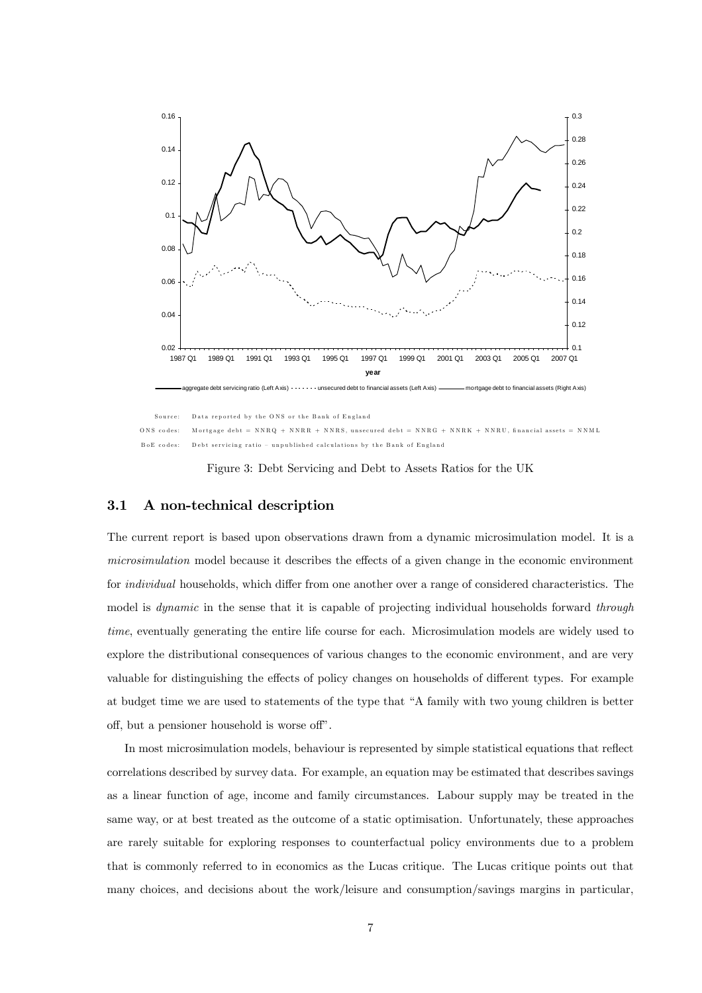

Figure 3: Debt Servicing and Debt to Assets Ratios for the UK

#### 3.1 A non-technical description

The current report is based upon observations drawn from a dynamic microsimulation model. It is a microsimulation model because it describes the effects of a given change in the economic environment for individual households, which differ from one another over a range of considered characteristics. The model is *dynamic* in the sense that it is capable of projecting individual households forward *through* time, eventually generating the entire life course for each. Microsimulation models are widely used to explore the distributional consequences of various changes to the economic environment, and are very valuable for distinguishing the effects of policy changes on households of different types. For example at budget time we are used to statements of the type that "A family with two young children is better off, but a pensioner household is worse off".

In most microsimulation models, behaviour is represented by simple statistical equations that reflect correlations described by survey data. For example, an equation may be estimated that describes savings as a linear function of age, income and family circumstances. Labour supply may be treated in the same way, or at best treated as the outcome of a static optimisation. Unfortunately, these approaches are rarely suitable for exploring responses to counterfactual policy environments due to a problem that is commonly referred to in economics as the Lucas critique. The Lucas critique points out that many choices, and decisions about the work/leisure and consumption/savings margins in particular,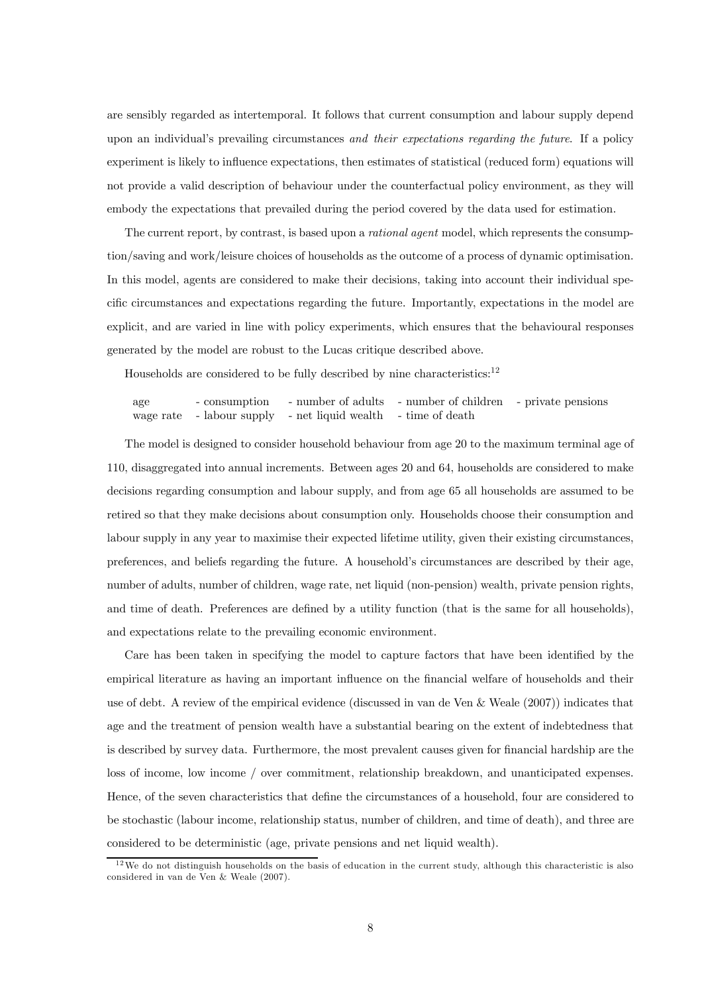are sensibly regarded as intertemporal. It follows that current consumption and labour supply depend upon an individual's prevailing circumstances and their expectations regarding the future. If a policy experiment is likely to influence expectations, then estimates of statistical (reduced form) equations will not provide a valid description of behaviour under the counterfactual policy environment, as they will embody the expectations that prevailed during the period covered by the data used for estimation.

The current report, by contrast, is based upon a *rational agent* model, which represents the consumption/saving and work/leisure choices of households as the outcome of a process of dynamic optimisation. In this model, agents are considered to make their decisions, taking into account their individual specific circumstances and expectations regarding the future. Importantly, expectations in the model are explicit, and are varied in line with policy experiments, which ensures that the behavioural responses generated by the model are robust to the Lucas critique described above.

Households are considered to be fully described by nine characteristics: $^{12}$ 

age - consumption - number of adults - number of children - private pensions wage rate - labour supply - net liquid wealth - time of death

The model is designed to consider household behaviour from age 20 to the maximum terminal age of 110, disaggregated into annual increments. Between ages 20 and 64, households are considered to make decisions regarding consumption and labour supply, and from age 65 all households are assumed to be retired so that they make decisions about consumption only. Households choose their consumption and labour supply in any year to maximise their expected lifetime utility, given their existing circumstances, preferences, and beliefs regarding the future. A household's circumstances are described by their age, number of adults, number of children, wage rate, net liquid (non-pension) wealth, private pension rights, and time of death. Preferences are defined by a utility function (that is the same for all households), and expectations relate to the prevailing economic environment.

Care has been taken in specifying the model to capture factors that have been identified by the empirical literature as having an important influence on the financial welfare of households and their use of debt. A review of the empirical evidence (discussed in van de Ven & Weale (2007)) indicates that age and the treatment of pension wealth have a substantial bearing on the extent of indebtedness that is described by survey data. Furthermore, the most prevalent causes given for financial hardship are the loss of income, low income / over commitment, relationship breakdown, and unanticipated expenses. Hence, of the seven characteristics that define the circumstances of a household, four are considered to be stochastic (labour income, relationship status, number of children, and time of death), and three are considered to be deterministic (age, private pensions and net liquid wealth).

 $12$ We do not distinguish households on the basis of education in the current study, although this characteristic is also considered in van de Ven & Weale (2007).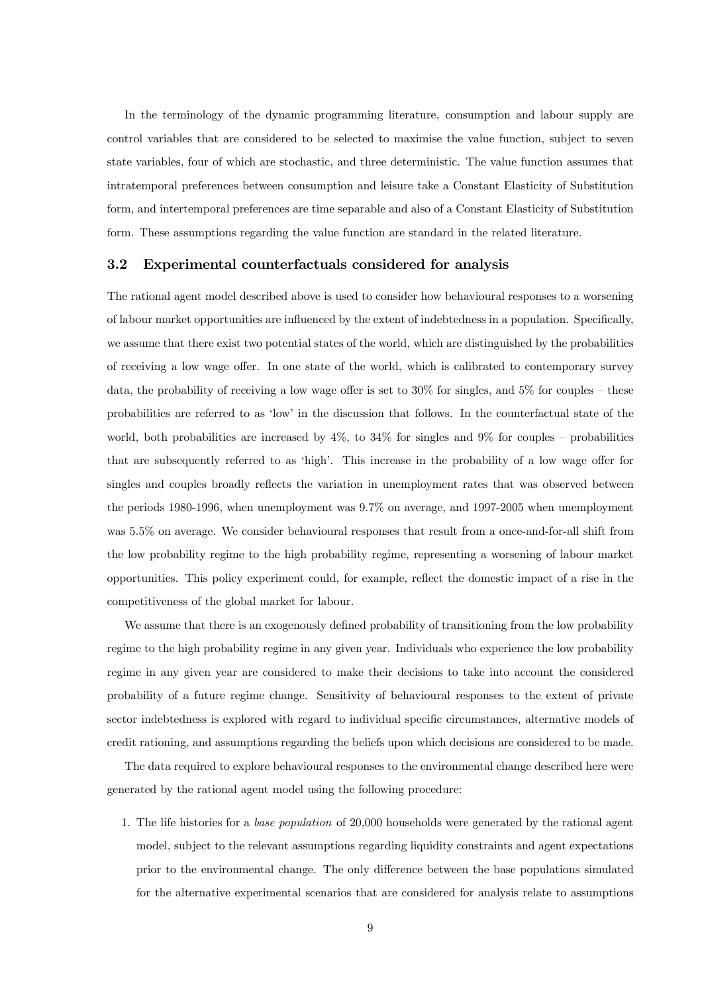In the terminology of the dynamic programming literature, consumption and labour supply are control variables that are considered to be selected to maximise the value function, subject to seven state variables, four of which are stochastic, and three deterministic. The value function assumes that intratemporal preferences between consumption and leisure take a Constant Elasticity of Substitution form, and intertemporal preferences are time separable and also of a Constant Elasticity of Substitution form. These assumptions regarding the value function are standard in the related literature.

#### 3.2 Experimental counterfactuals considered for analysis

The rational agent model described above is used to consider how behavioural responses to a worsening of labour market opportunities are influenced by the extent of indebtedness in a population. Specifically, we assume that there exist two potential states of the world, which are distinguished by the probabilities of receiving a low wage offer. In one state of the world, which is calibrated to contemporary survey data, the probability of receiving a low wage offer is set to  $30\%$  for singles, and  $5\%$  for couples – these probabilities are referred to as 'low' in the discussion that follows. In the counterfactual state of the world, both probabilities are increased by  $4\%$ , to  $34\%$  for singles and  $9\%$  for couples – probabilities that are subsequently referred to as 'high'. This increase in the probability of a low wage offer for singles and couples broadly reflects the variation in unemployment rates that was observed between the periods 1980-1996, when unemployment was 9.7% on average, and 1997-2005 when unemployment was 5.5% on average. We consider behavioural responses that result from a once-and-for-all shift from the low probability regime to the high probability regime, representing a worsening of labour market opportunities. This policy experiment could, for example, reflect the domestic impact of a rise in the competitiveness of the global market for labour.

We assume that there is an exogenously defined probability of transitioning from the low probability regime to the high probability regime in any given year. Individuals who experience the low probability regime in any given year are considered to make their decisions to take into account the considered probability of a future regime change. Sensitivity of behavioural responses to the extent of private sector indebtedness is explored with regard to individual specific circumstances, alternative models of credit rationing, and assumptions regarding the beliefs upon which decisions are considered to be made.

The data required to explore behavioural responses to the environmental change described here were generated by the rational agent model using the following procedure:

1. The life histories for a base population of 20,000 households were generated by the rational agent model, subject to the relevant assumptions regarding liquidity constraints and agent expectations prior to the environmental change. The only difference between the base populations simulated for the alternative experimental scenarios that are considered for analysis relate to assumptions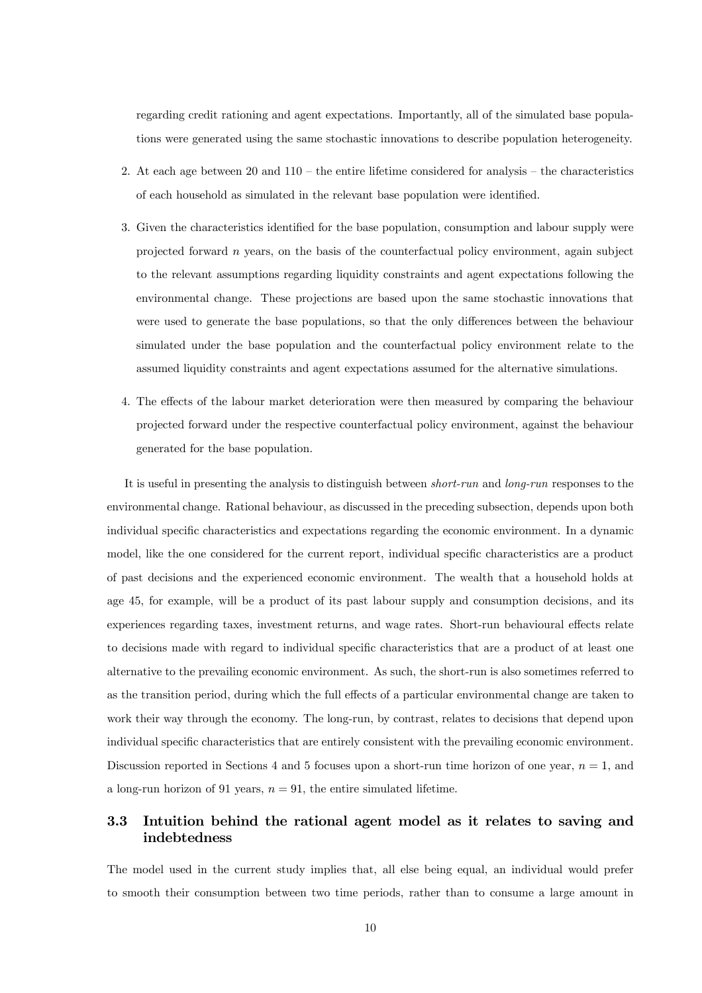regarding credit rationing and agent expectations. Importantly, all of the simulated base populations were generated using the same stochastic innovations to describe population heterogeneity.

- 2. At each age between 20 and  $110 -$  the entire lifetime considered for analysis the characteristics of each household as simulated in the relevant base population were identified.
- 3. Given the characteristics identified for the base population, consumption and labour supply were projected forward  $n$  years, on the basis of the counterfactual policy environment, again subject to the relevant assumptions regarding liquidity constraints and agent expectations following the environmental change. These projections are based upon the same stochastic innovations that were used to generate the base populations, so that the only differences between the behaviour simulated under the base population and the counterfactual policy environment relate to the assumed liquidity constraints and agent expectations assumed for the alternative simulations.
- 4. The effects of the labour market deterioration were then measured by comparing the behaviour projected forward under the respective counterfactual policy environment, against the behaviour generated for the base population.

It is useful in presenting the analysis to distinguish between short-run and long-run responses to the environmental change. Rational behaviour, as discussed in the preceding subsection, depends upon both individual specific characteristics and expectations regarding the economic environment. In a dynamic model, like the one considered for the current report, individual specific characteristics are a product of past decisions and the experienced economic environment. The wealth that a household holds at age 45, for example, will be a product of its past labour supply and consumption decisions, and its experiences regarding taxes, investment returns, and wage rates. Short-run behavioural effects relate to decisions made with regard to individual specific characteristics that are a product of at least one alternative to the prevailing economic environment. As such, the short-run is also sometimes referred to as the transition period, during which the full effects of a particular environmental change are taken to work their way through the economy. The long-run, by contrast, relates to decisions that depend upon individual specific characteristics that are entirely consistent with the prevailing economic environment. Discussion reported in Sections 4 and 5 focuses upon a short-run time horizon of one year,  $n = 1$ , and a long-run horizon of 91 years,  $n = 91$ , the entire simulated lifetime.

# 3.3 Intuition behind the rational agent model as it relates to saving and indebtedness

The model used in the current study implies that, all else being equal, an individual would prefer to smooth their consumption between two time periods, rather than to consume a large amount in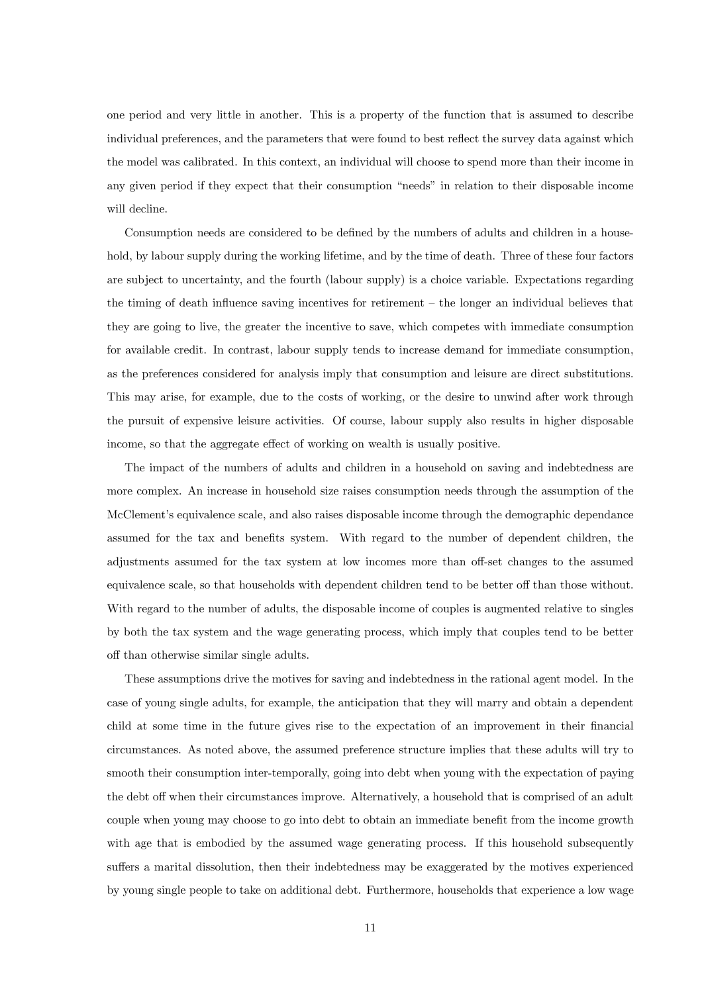one period and very little in another. This is a property of the function that is assumed to describe individual preferences, and the parameters that were found to best reflect the survey data against which the model was calibrated. In this context, an individual will choose to spend more than their income in any given period if they expect that their consumption "needs" in relation to their disposable income will decline.

Consumption needs are considered to be defined by the numbers of adults and children in a household, by labour supply during the working lifetime, and by the time of death. Three of these four factors are subject to uncertainty, and the fourth (labour supply) is a choice variable. Expectations regarding the timing of death influence saving incentives for retirement — the longer an individual believes that they are going to live, the greater the incentive to save, which competes with immediate consumption for available credit. In contrast, labour supply tends to increase demand for immediate consumption, as the preferences considered for analysis imply that consumption and leisure are direct substitutions. This may arise, for example, due to the costs of working, or the desire to unwind after work through the pursuit of expensive leisure activities. Of course, labour supply also results in higher disposable income, so that the aggregate effect of working on wealth is usually positive.

The impact of the numbers of adults and children in a household on saving and indebtedness are more complex. An increase in household size raises consumption needs through the assumption of the McClement's equivalence scale, and also raises disposable income through the demographic dependance assumed for the tax and benefits system. With regard to the number of dependent children, the adjustments assumed for the tax system at low incomes more than off-set changes to the assumed equivalence scale, so that households with dependent children tend to be better off than those without. With regard to the number of adults, the disposable income of couples is augmented relative to singles by both the tax system and the wage generating process, which imply that couples tend to be better off than otherwise similar single adults.

These assumptions drive the motives for saving and indebtedness in the rational agent model. In the case of young single adults, for example, the anticipation that they will marry and obtain a dependent child at some time in the future gives rise to the expectation of an improvement in their financial circumstances. As noted above, the assumed preference structure implies that these adults will try to smooth their consumption inter-temporally, going into debt when young with the expectation of paying the debt off when their circumstances improve. Alternatively, a household that is comprised of an adult couple when young may choose to go into debt to obtain an immediate benefit from the income growth with age that is embodied by the assumed wage generating process. If this household subsequently suffers a marital dissolution, then their indebtedness may be exaggerated by the motives experienced by young single people to take on additional debt. Furthermore, households that experience a low wage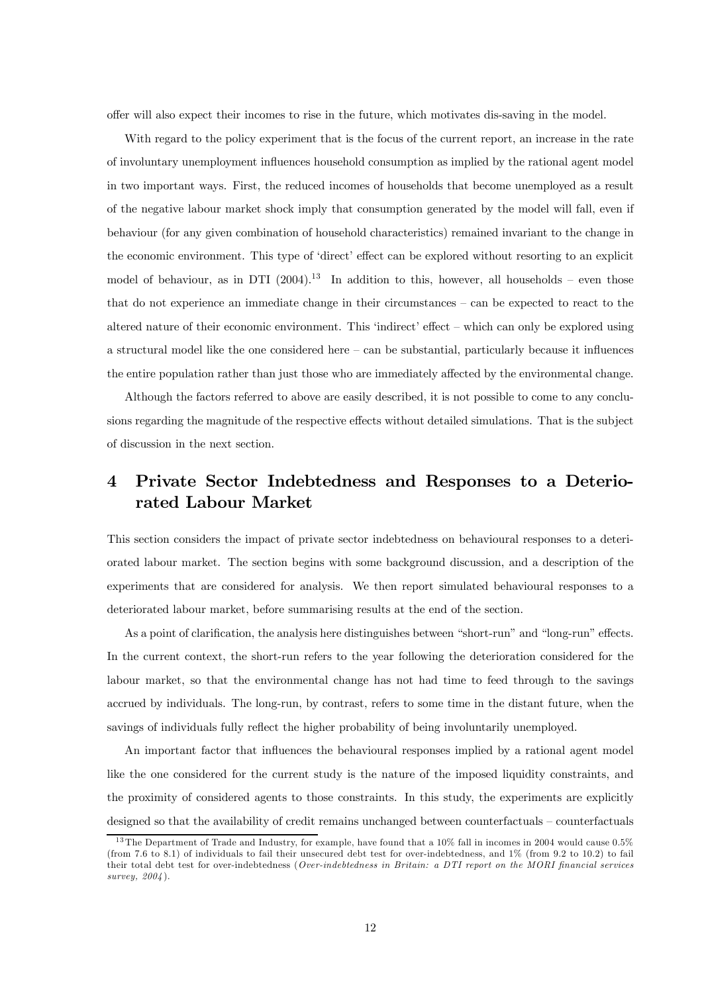offer will also expect their incomes to rise in the future, which motivates dis-saving in the model.

With regard to the policy experiment that is the focus of the current report, an increase in the rate of involuntary unemployment influences household consumption as implied by the rational agent model in two important ways. First, the reduced incomes of households that become unemployed as a result of the negative labour market shock imply that consumption generated by the model will fall, even if behaviour (for any given combination of household characteristics) remained invariant to the change in the economic environment. This type of 'direct' effect can be explored without resorting to an explicit model of behaviour, as in DTI  $(2004).^{13}$  In addition to this, however, all households – even those that do not experience an immediate change in their circumstances — can be expected to react to the altered nature of their economic environment. This 'indirect' effect — which can only be explored using a structural model like the one considered here — can be substantial, particularly because it influences the entire population rather than just those who are immediately affected by the environmental change.

Although the factors referred to above are easily described, it is not possible to come to any conclusions regarding the magnitude of the respective effects without detailed simulations. That is the subject of discussion in the next section.

# 4 Private Sector Indebtedness and Responses to a Deteriorated Labour Market

This section considers the impact of private sector indebtedness on behavioural responses to a deteriorated labour market. The section begins with some background discussion, and a description of the experiments that are considered for analysis. We then report simulated behavioural responses to a deteriorated labour market, before summarising results at the end of the section.

As a point of clarification, the analysis here distinguishes between "short-run" and "long-run" effects. In the current context, the short-run refers to the year following the deterioration considered for the labour market, so that the environmental change has not had time to feed through to the savings accrued by individuals. The long-run, by contrast, refers to some time in the distant future, when the savings of individuals fully reflect the higher probability of being involuntarily unemployed.

An important factor that influences the behavioural responses implied by a rational agent model like the one considered for the current study is the nature of the imposed liquidity constraints, and the proximity of considered agents to those constraints. In this study, the experiments are explicitly designed so that the availability of credit remains unchanged between counterfactuals — counterfactuals

<sup>&</sup>lt;sup>13</sup>The Department of Trade and Industry, for example, have found that a 10% fall in incomes in 2004 would cause 0.5% (from 7.6 to 8.1) of individuals to fail their unsecured debt test for over-indebtedness, and 1% (from 9.2 to 10.2) to fail their total debt test for over-indebtedness (Over-indebtedness in Britain: a DTI report on the MORI financial services survey, 2004).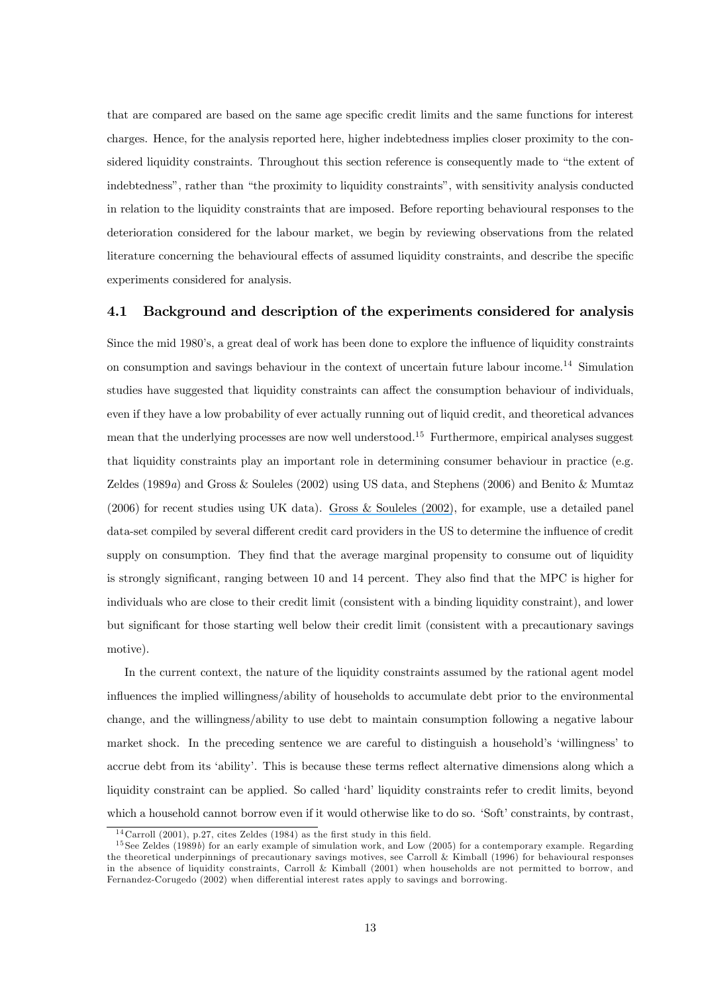that are compared are based on the same age specific credit limits and the same functions for interest charges. Hence, for the analysis reported here, higher indebtedness implies closer proximity to the considered liquidity constraints. Throughout this section reference is consequently made to "the extent of indebtedness", rather than "the proximity to liquidity constraints", with sensitivity analysis conducted in relation to the liquidity constraints that are imposed. Before reporting behavioural responses to the deterioration considered for the labour market, we begin by reviewing observations from the related literature concerning the behavioural effects of assumed liquidity constraints, and describe the specific experiments considered for analysis.

#### 4.1 Background and description of the experiments considered for analysis

Since the mid 1980's, a great deal of work has been done to explore the influence of liquidity constraints on consumption and savings behaviour in the context of uncertain future labour income.<sup>14</sup> Simulation studies have suggested that liquidity constraints can affect the consumption behaviour of individuals, even if they have a low probability of ever actually running out of liquid credit, and theoretical advances mean that the underlying processes are now well understood.<sup>15</sup> Furthermore, empirical analyses suggest that liquidity constraints play an important role in determining consumer behaviour in practice (e.g. Zeldes (1989a) and Gross & Souleles (2002) using US data, and Stephens (2006) and Benito & Mumtaz (2006) for recent studies using UK data). [Gross & Souleles \(2002\)](https://www.researchgate.net/publication/24091769_Do_Liquidity_Constraints_And_Interest_Rates_Matter_For_Consumer_Behavior_Evidence_From_Credit_Card_Data?el=1_x_8&enrichId=rgreq-15c9e48b068511c7a462e67019249f79-XXX&enrichSource=Y292ZXJQYWdlOzUyMDA2NTg7QVM6OTkxNzIxNDEyNDAzNDhAMTQwMDY1NTg5MDM5Nw==), for example, use a detailed panel data-set compiled by several different credit card providers in the US to determine the influence of credit supply on consumption. They find that the average marginal propensity to consume out of liquidity is strongly significant, ranging between 10 and 14 percent. They also find that the MPC is higher for individuals who are close to their credit limit (consistent with a binding liquidity constraint), and lower but significant for those starting well below their credit limit (consistent with a precautionary savings motive).

In the current context, the nature of the liquidity constraints assumed by the rational agent model influences the implied willingness/ability of households to accumulate debt prior to the environmental change, and the willingness/ability to use debt to maintain consumption following a negative labour market shock. In the preceding sentence we are careful to distinguish a household's 'willingness' to accrue debt from its 'ability'. This is because these terms reflect alternative dimensions along which a liquidity constraint can be applied. So called 'hard' liquidity constraints refer to credit limits, beyond which a household cannot borrow even if it would otherwise like to do so. 'Soft' constraints, by contrast,

<sup>&</sup>lt;sup>14</sup> Carroll (2001), p.27, cites Zeldes (1984) as the first study in this field.

 $15$  See Zeldes (1989b) for an early example of simulation work, and Low (2005) for a contemporary example. Regarding the theoretical underpinnings of precautionary savings motives, see Carroll & Kimball (1996) for behavioural responses in the absence of liquidity constraints, Carroll & Kimball (2001) when households are not permitted to borrow, and Fernandez-Corugedo (2002) when differential interest rates apply to savings and borrowing.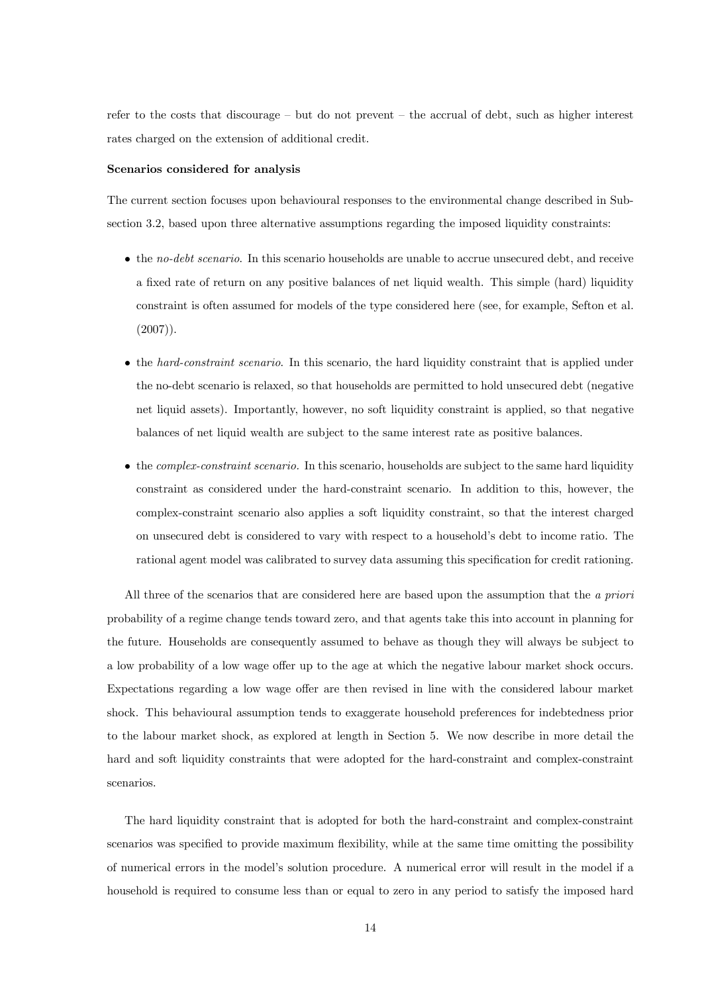refer to the costs that discourage — but do not prevent — the accrual of debt, such as higher interest rates charged on the extension of additional credit.

#### Scenarios considered for analysis

The current section focuses upon behavioural responses to the environmental change described in Subsection 3.2, based upon three alternative assumptions regarding the imposed liquidity constraints:

- the no-debt scenario. In this scenario households are unable to accrue unsecured debt, and receive a fixed rate of return on any positive balances of net liquid wealth. This simple (hard) liquidity constraint is often assumed for models of the type considered here (see, for example, Sefton et al.  $(2007)$ .
- the hard-constraint scenario. In this scenario, the hard liquidity constraint that is applied under the no-debt scenario is relaxed, so that households are permitted to hold unsecured debt (negative net liquid assets). Importantly, however, no soft liquidity constraint is applied, so that negative balances of net liquid wealth are subject to the same interest rate as positive balances.
- the *complex-constraint scenario*. In this scenario, households are subject to the same hard liquidity constraint as considered under the hard-constraint scenario. In addition to this, however, the complex-constraint scenario also applies a soft liquidity constraint, so that the interest charged on unsecured debt is considered to vary with respect to a household's debt to income ratio. The rational agent model was calibrated to survey data assuming this specification for credit rationing.

All three of the scenarios that are considered here are based upon the assumption that the a priori probability of a regime change tends toward zero, and that agents take this into account in planning for the future. Households are consequently assumed to behave as though they will always be subject to a low probability of a low wage offer up to the age at which the negative labour market shock occurs. Expectations regarding a low wage offer are then revised in line with the considered labour market shock. This behavioural assumption tends to exaggerate household preferences for indebtedness prior to the labour market shock, as explored at length in Section 5. We now describe in more detail the hard and soft liquidity constraints that were adopted for the hard-constraint and complex-constraint scenarios.

The hard liquidity constraint that is adopted for both the hard-constraint and complex-constraint scenarios was specified to provide maximum flexibility, while at the same time omitting the possibility of numerical errors in the model's solution procedure. A numerical error will result in the model if a household is required to consume less than or equal to zero in any period to satisfy the imposed hard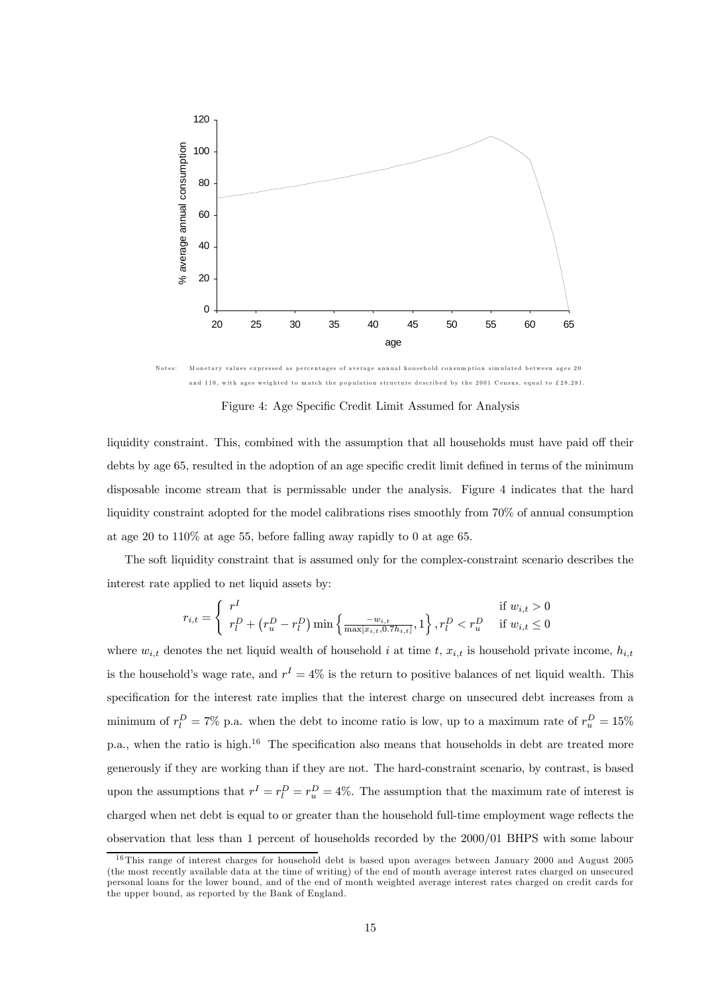

N otes: M onetary values expressed as percentages of average annual household consum ption simulated between ages 20 and 110, with ages weighted to match the population structure described by the 2001 Census, equal to £28,281

Figure 4: Age Specific Credit Limit Assumed for Analysis

liquidity constraint. This, combined with the assumption that all households must have paid off their debts by age 65, resulted in the adoption of an age specific credit limit defined in terms of the minimum disposable income stream that is permissable under the analysis. Figure 4 indicates that the hard liquidity constraint adopted for the model calibrations rises smoothly from 70% of annual consumption at age 20 to 110% at age 55, before falling away rapidly to 0 at age 65.

The soft liquidity constraint that is assumed only for the complex-constraint scenario describes the interest rate applied to net liquid assets by:

$$
r_{i,t} = \begin{cases} r^I & \text{if } w_{i,t} > 0\\ r^D_i + (r^D_u - r^D_i) \min\left\{\frac{-w_{i,t}}{\max[x_{i,t}, 0.7h_{i,t}]}, 1\right\}, r^D_i & \text{if } w_{i,t} \le 0 \end{cases}
$$

where  $w_{i,t}$  denotes the net liquid wealth of household i at time t,  $x_{i,t}$  is household private income,  $h_{i,t}$ is the household's wage rate, and  $r^I = 4\%$  is the return to positive balances of net liquid wealth. This specification for the interest rate implies that the interest charge on unsecured debt increases from a minimum of  $r_l^D = 7\%$  p.a. when the debt to income ratio is low, up to a maximum rate of  $r_u^D = 15\%$ p.a., when the ratio is high.<sup>16</sup> The specification also means that households in debt are treated more generously if they are working than if they are not. The hard-constraint scenario, by contrast, is based upon the assumptions that  $r<sup>I</sup> = r<sub>u</sub><sup>D</sup> = r<sub>u</sub><sup>D</sup> = 4\%.$  The assumption that the maximum rate of interest is charged when net debt is equal to or greater than the household full-time employment wage reflects the observation that less than 1 percent of households recorded by the 2000/01 BHPS with some labour

 $16$ This range of interest charges for household debt is based upon averages between January 2000 and August 2005 (the most recently available data at the time of writing) of the end of month average interest rates charged on unsecured personal loans for the lower bound, and of the end of month weighted average interest rates charged on credit cards for the upper bound, as reported by the Bank of England.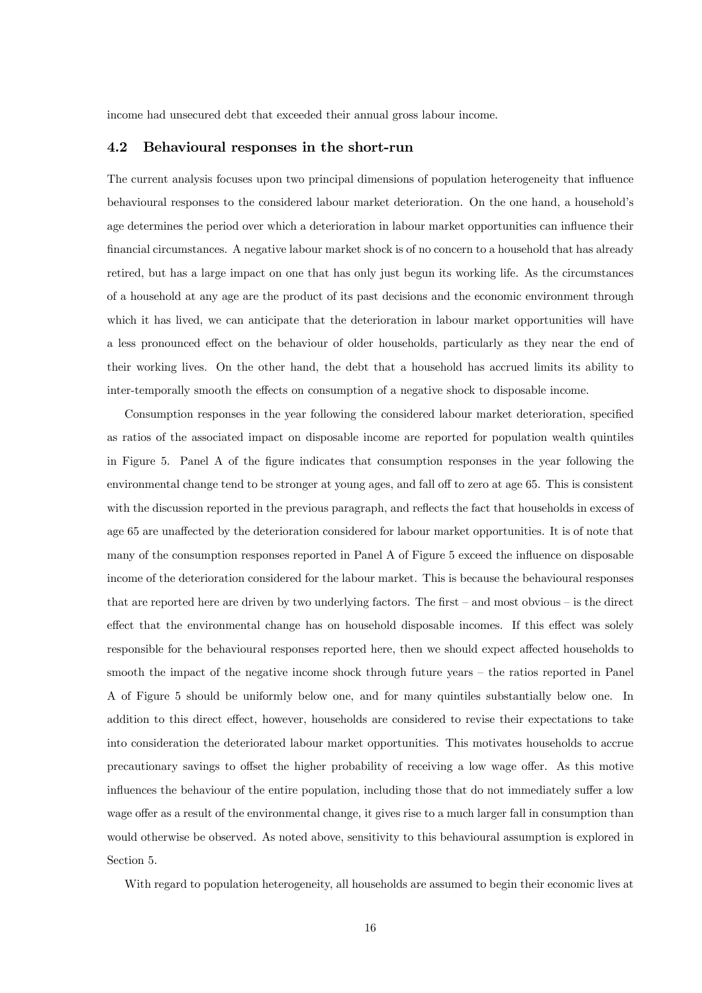income had unsecured debt that exceeded their annual gross labour income.

#### 4.2 Behavioural responses in the short-run

The current analysis focuses upon two principal dimensions of population heterogeneity that influence behavioural responses to the considered labour market deterioration. On the one hand, a household's age determines the period over which a deterioration in labour market opportunities can influence their financial circumstances. A negative labour market shock is of no concern to a household that has already retired, but has a large impact on one that has only just begun its working life. As the circumstances of a household at any age are the product of its past decisions and the economic environment through which it has lived, we can anticipate that the deterioration in labour market opportunities will have a less pronounced effect on the behaviour of older households, particularly as they near the end of their working lives. On the other hand, the debt that a household has accrued limits its ability to inter-temporally smooth the effects on consumption of a negative shock to disposable income.

Consumption responses in the year following the considered labour market deterioration, specified as ratios of the associated impact on disposable income are reported for population wealth quintiles in Figure 5. Panel A of the figure indicates that consumption responses in the year following the environmental change tend to be stronger at young ages, and fall off to zero at age 65. This is consistent with the discussion reported in the previous paragraph, and reflects the fact that households in excess of age 65 are unaffected by the deterioration considered for labour market opportunities. It is of note that many of the consumption responses reported in Panel A of Figure 5 exceed the influence on disposable income of the deterioration considered for the labour market. This is because the behavioural responses that are reported here are driven by two underlying factors. The first — and most obvious — is the direct effect that the environmental change has on household disposable incomes. If this effect was solely responsible for the behavioural responses reported here, then we should expect affected households to smooth the impact of the negative income shock through future years – the ratios reported in Panel A of Figure 5 should be uniformly below one, and for many quintiles substantially below one. In addition to this direct effect, however, households are considered to revise their expectations to take into consideration the deteriorated labour market opportunities. This motivates households to accrue precautionary savings to offset the higher probability of receiving a low wage offer. As this motive influences the behaviour of the entire population, including those that do not immediately suffer a low wage offer as a result of the environmental change, it gives rise to a much larger fall in consumption than would otherwise be observed. As noted above, sensitivity to this behavioural assumption is explored in Section 5.

With regard to population heterogeneity, all households are assumed to begin their economic lives at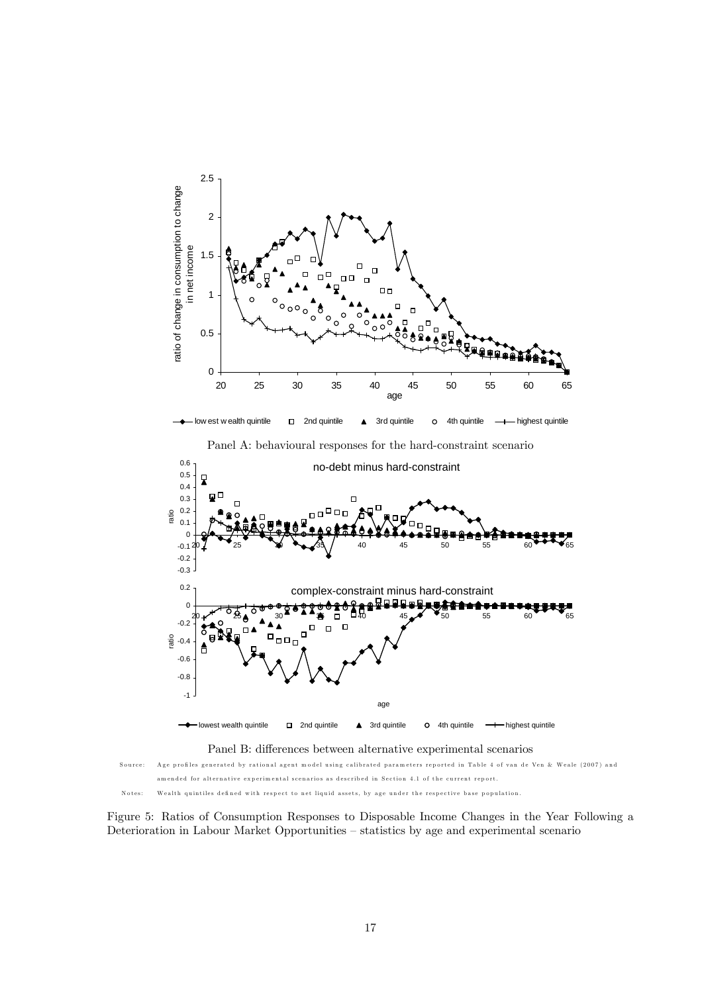

Figure 5: Ratios of Consumption Responses to Disposable Income Changes in the Year Following a Deterioration in Labour Market Opportunities — statistics by age and experimental scenario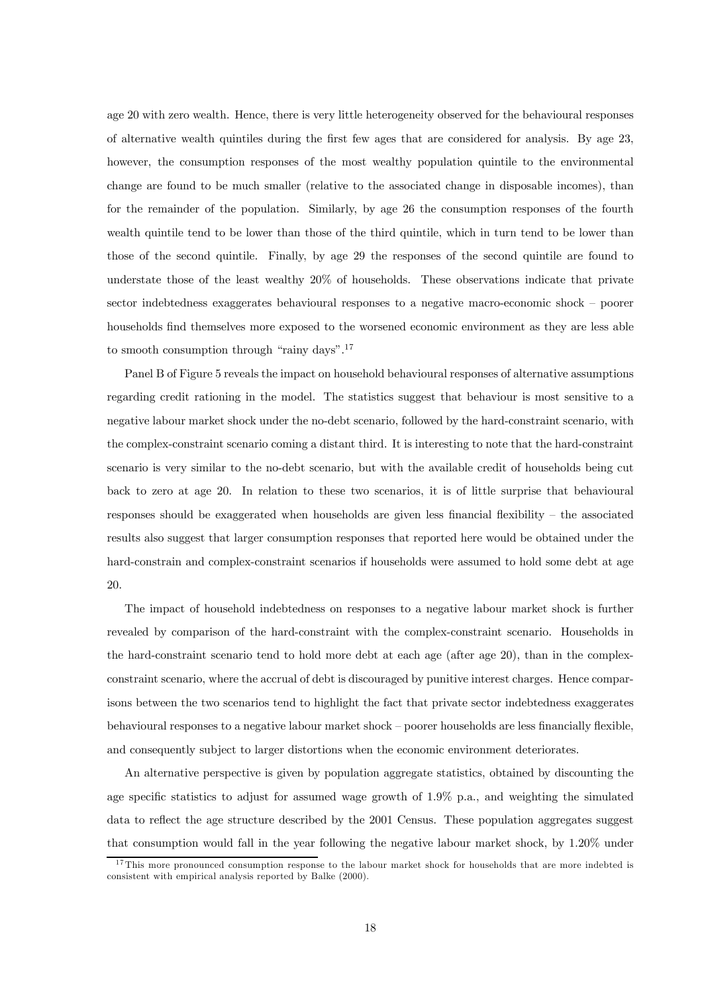age 20 with zero wealth. Hence, there is very little heterogeneity observed for the behavioural responses of alternative wealth quintiles during the first few ages that are considered for analysis. By age 23, however, the consumption responses of the most wealthy population quintile to the environmental change are found to be much smaller (relative to the associated change in disposable incomes), than for the remainder of the population. Similarly, by age 26 the consumption responses of the fourth wealth quintile tend to be lower than those of the third quintile, which in turn tend to be lower than those of the second quintile. Finally, by age 29 the responses of the second quintile are found to understate those of the least wealthy 20% of households. These observations indicate that private sector indebtedness exaggerates behavioural responses to a negative macro-economic shock — poorer households find themselves more exposed to the worsened economic environment as they are less able to smooth consumption through "rainy days".17

Panel B of Figure 5 reveals the impact on household behavioural responses of alternative assumptions regarding credit rationing in the model. The statistics suggest that behaviour is most sensitive to a negative labour market shock under the no-debt scenario, followed by the hard-constraint scenario, with the complex-constraint scenario coming a distant third. It is interesting to note that the hard-constraint scenario is very similar to the no-debt scenario, but with the available credit of households being cut back to zero at age 20. In relation to these two scenarios, it is of little surprise that behavioural responses should be exaggerated when households are given less financial flexibility — the associated results also suggest that larger consumption responses that reported here would be obtained under the hard-constrain and complex-constraint scenarios if households were assumed to hold some debt at age 20.

The impact of household indebtedness on responses to a negative labour market shock is further revealed by comparison of the hard-constraint with the complex-constraint scenario. Households in the hard-constraint scenario tend to hold more debt at each age (after age 20), than in the complexconstraint scenario, where the accrual of debt is discouraged by punitive interest charges. Hence comparisons between the two scenarios tend to highlight the fact that private sector indebtedness exaggerates behavioural responses to a negative labour market shock — poorer households are less financially flexible, and consequently subject to larger distortions when the economic environment deteriorates.

An alternative perspective is given by population aggregate statistics, obtained by discounting the age specific statistics to adjust for assumed wage growth of 1.9% p.a., and weighting the simulated data to reflect the age structure described by the 2001 Census. These population aggregates suggest that consumption would fall in the year following the negative labour market shock, by 1.20% under

<sup>&</sup>lt;sup>17</sup>This more pronounced consumption response to the labour market shock for households that are more indebted is consistent with empirical analysis reported by Balke (2000).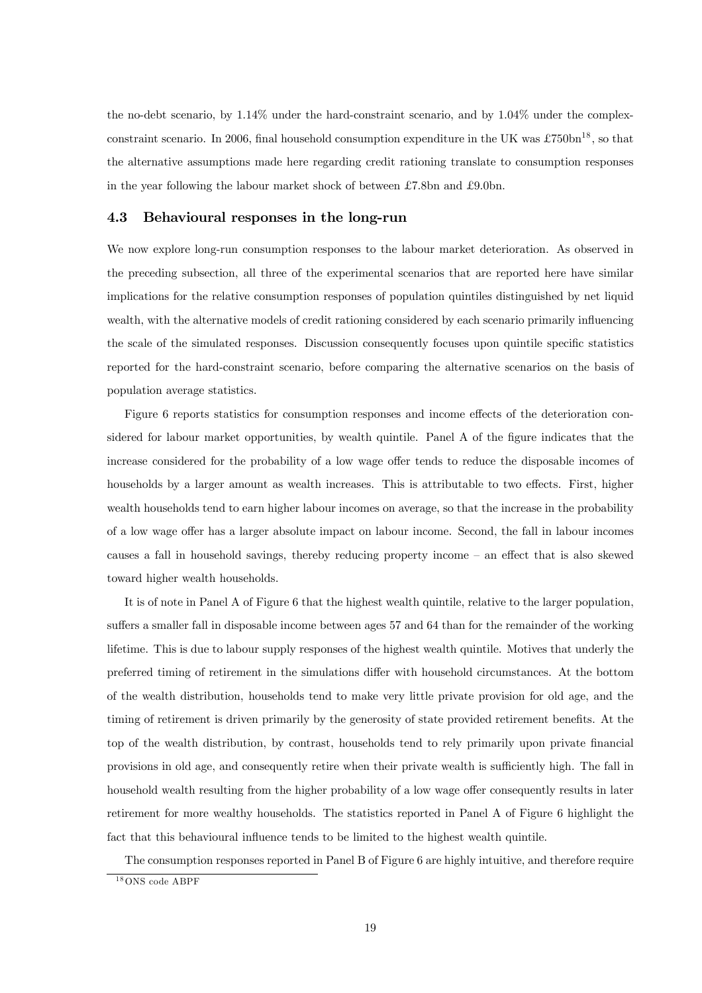the no-debt scenario, by 1.14% under the hard-constraint scenario, and by 1.04% under the complexconstraint scenario. In 2006, final household consumption expenditure in the UK was  $\text{\textsterling}750bn^{18}$ , so that the alternative assumptions made here regarding credit rationing translate to consumption responses in the year following the labour market shock of between £7.8bn and £9.0bn.

#### 4.3 Behavioural responses in the long-run

We now explore long-run consumption responses to the labour market deterioration. As observed in the preceding subsection, all three of the experimental scenarios that are reported here have similar implications for the relative consumption responses of population quintiles distinguished by net liquid wealth, with the alternative models of credit rationing considered by each scenario primarily influencing the scale of the simulated responses. Discussion consequently focuses upon quintile specific statistics reported for the hard-constraint scenario, before comparing the alternative scenarios on the basis of population average statistics.

Figure 6 reports statistics for consumption responses and income effects of the deterioration considered for labour market opportunities, by wealth quintile. Panel A of the figure indicates that the increase considered for the probability of a low wage offer tends to reduce the disposable incomes of households by a larger amount as wealth increases. This is attributable to two effects. First, higher wealth households tend to earn higher labour incomes on average, so that the increase in the probability of a low wage offer has a larger absolute impact on labour income. Second, the fall in labour incomes causes a fall in household savings, thereby reducing property income — an effect that is also skewed toward higher wealth households.

It is of note in Panel A of Figure 6 that the highest wealth quintile, relative to the larger population, suffers a smaller fall in disposable income between ages 57 and 64 than for the remainder of the working lifetime. This is due to labour supply responses of the highest wealth quintile. Motives that underly the preferred timing of retirement in the simulations differ with household circumstances. At the bottom of the wealth distribution, households tend to make very little private provision for old age, and the timing of retirement is driven primarily by the generosity of state provided retirement benefits. At the top of the wealth distribution, by contrast, households tend to rely primarily upon private financial provisions in old age, and consequently retire when their private wealth is sufficiently high. The fall in household wealth resulting from the higher probability of a low wage offer consequently results in later retirement for more wealthy households. The statistics reported in Panel A of Figure 6 highlight the fact that this behavioural influence tends to be limited to the highest wealth quintile.

The consumption responses reported in Panel B of Figure 6 are highly intuitive, and therefore require

 $18$ ONS code ABPF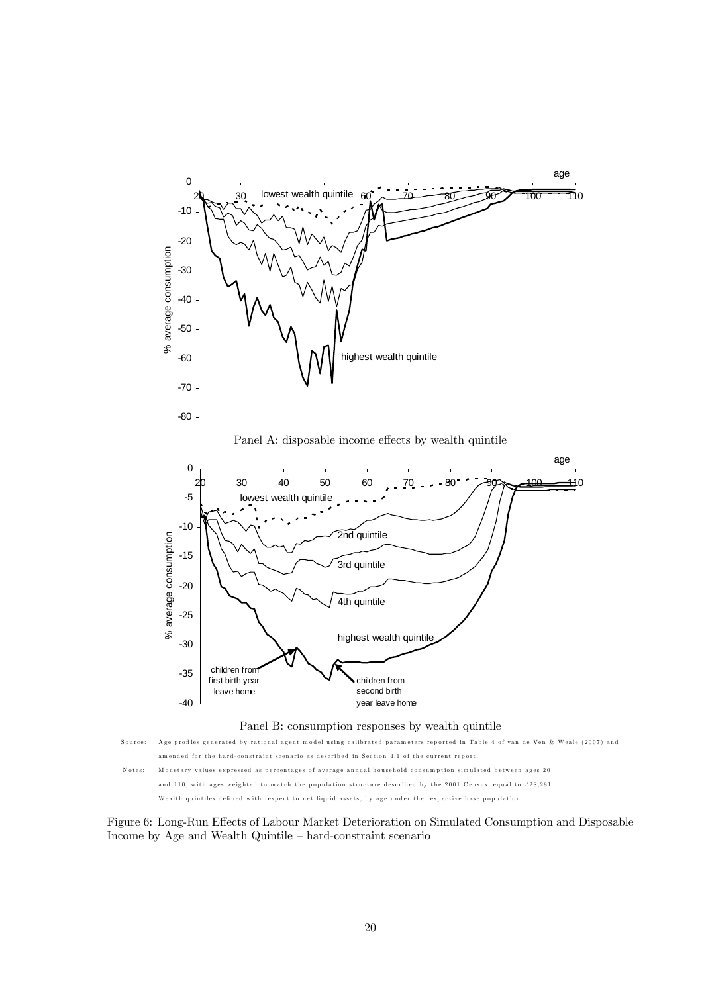

Panel A: disposable income effects by wealth quintile





Figure 6: Long-Run Effects of Labour Market Deterioration on Simulated Consumption and Disposable Income by Age and Wealth Quintile — hard-constraint scenario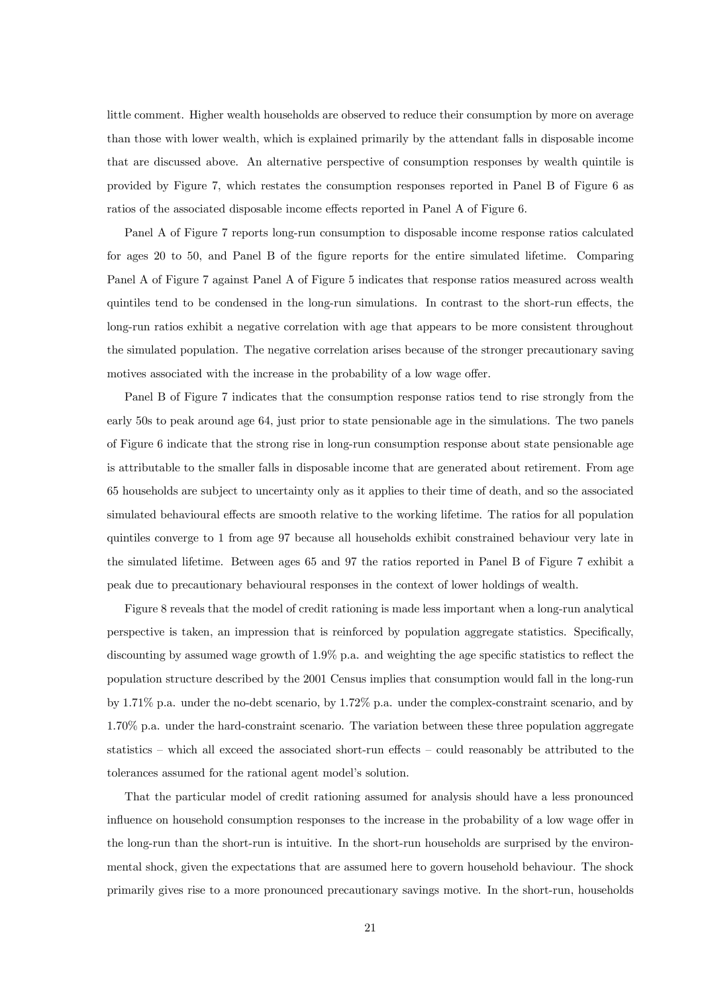little comment. Higher wealth households are observed to reduce their consumption by more on average than those with lower wealth, which is explained primarily by the attendant falls in disposable income that are discussed above. An alternative perspective of consumption responses by wealth quintile is provided by Figure 7, which restates the consumption responses reported in Panel B of Figure 6 as ratios of the associated disposable income effects reported in Panel A of Figure 6.

Panel A of Figure 7 reports long-run consumption to disposable income response ratios calculated for ages 20 to 50, and Panel B of the figure reports for the entire simulated lifetime. Comparing Panel A of Figure 7 against Panel A of Figure 5 indicates that response ratios measured across wealth quintiles tend to be condensed in the long-run simulations. In contrast to the short-run effects, the long-run ratios exhibit a negative correlation with age that appears to be more consistent throughout the simulated population. The negative correlation arises because of the stronger precautionary saving motives associated with the increase in the probability of a low wage offer.

Panel B of Figure 7 indicates that the consumption response ratios tend to rise strongly from the early 50s to peak around age 64, just prior to state pensionable age in the simulations. The two panels of Figure 6 indicate that the strong rise in long-run consumption response about state pensionable age is attributable to the smaller falls in disposable income that are generated about retirement. From age 65 households are subject to uncertainty only as it applies to their time of death, and so the associated simulated behavioural effects are smooth relative to the working lifetime. The ratios for all population quintiles converge to 1 from age 97 because all households exhibit constrained behaviour very late in the simulated lifetime. Between ages 65 and 97 the ratios reported in Panel B of Figure 7 exhibit a peak due to precautionary behavioural responses in the context of lower holdings of wealth.

Figure 8 reveals that the model of credit rationing is made less important when a long-run analytical perspective is taken, an impression that is reinforced by population aggregate statistics. Specifically, discounting by assumed wage growth of 1.9% p.a. and weighting the age specific statistics to reflect the population structure described by the 2001 Census implies that consumption would fall in the long-run by 1.71% p.a. under the no-debt scenario, by 1.72% p.a. under the complex-constraint scenario, and by 1.70% p.a. under the hard-constraint scenario. The variation between these three population aggregate statistics — which all exceed the associated short-run effects — could reasonably be attributed to the tolerances assumed for the rational agent model's solution.

That the particular model of credit rationing assumed for analysis should have a less pronounced influence on household consumption responses to the increase in the probability of a low wage offer in the long-run than the short-run is intuitive. In the short-run households are surprised by the environmental shock, given the expectations that are assumed here to govern household behaviour. The shock primarily gives rise to a more pronounced precautionary savings motive. In the short-run, households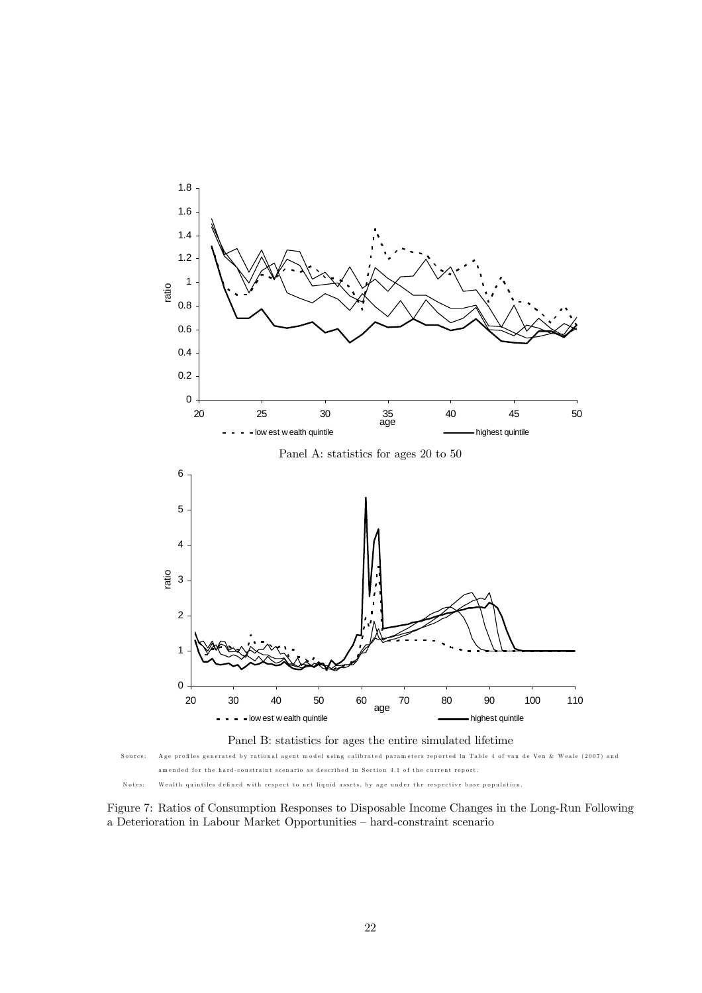



Figure 7: Ratios of Consumption Responses to Disposable Income Changes in the Long-Run Following a Deterioration in Labour Market Opportunities — hard-constraint scenario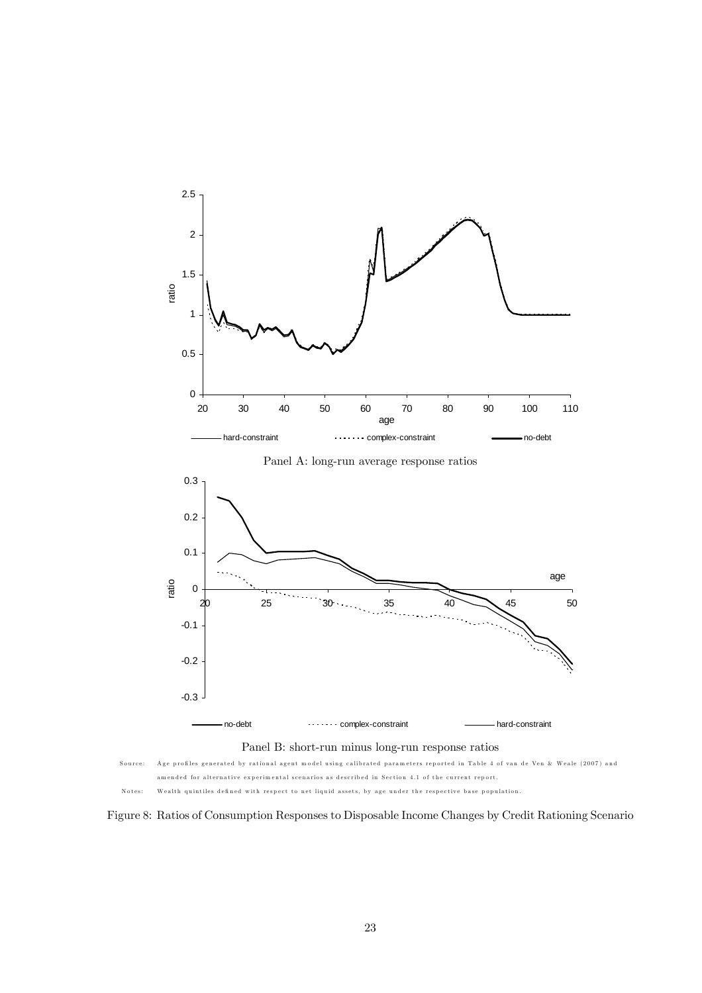



 $-0.3 -$ 

Figure 8: Ratios of Consumption Responses to Disposable Income Changes by Credit Rationing Scenario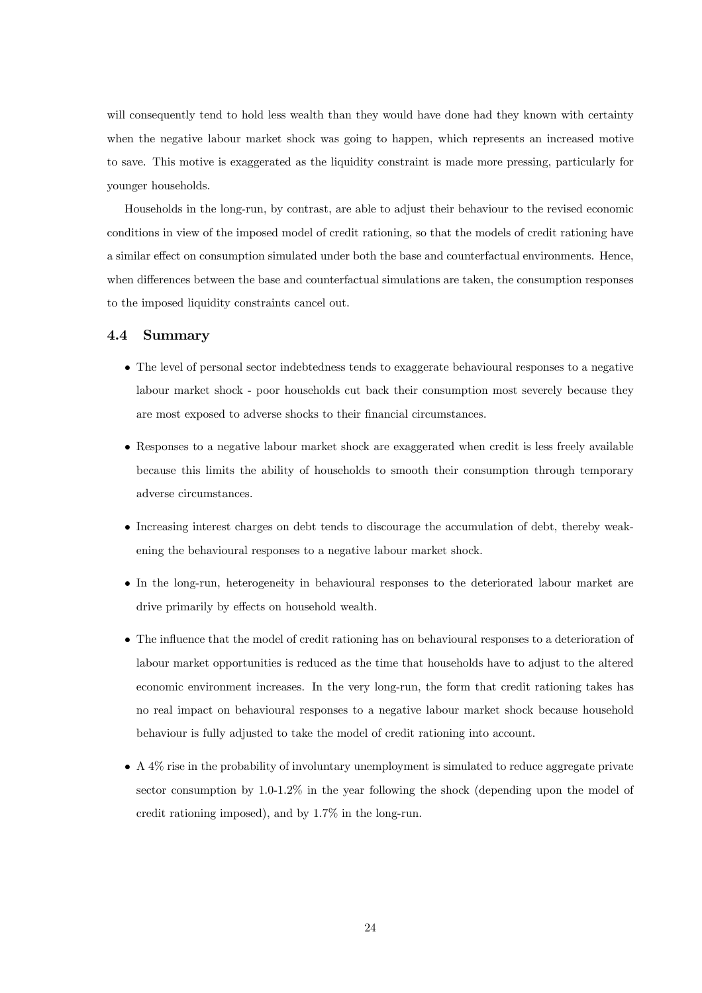will consequently tend to hold less wealth than they would have done had they known with certainty when the negative labour market shock was going to happen, which represents an increased motive to save. This motive is exaggerated as the liquidity constraint is made more pressing, particularly for younger households.

Households in the long-run, by contrast, are able to adjust their behaviour to the revised economic conditions in view of the imposed model of credit rationing, so that the models of credit rationing have a similar effect on consumption simulated under both the base and counterfactual environments. Hence, when differences between the base and counterfactual simulations are taken, the consumption responses to the imposed liquidity constraints cancel out.

#### 4.4 Summary

- The level of personal sector indebtedness tends to exaggerate behavioural responses to a negative labour market shock - poor households cut back their consumption most severely because they are most exposed to adverse shocks to their financial circumstances.
- Responses to a negative labour market shock are exaggerated when credit is less freely available because this limits the ability of households to smooth their consumption through temporary adverse circumstances.
- Increasing interest charges on debt tends to discourage the accumulation of debt, thereby weakening the behavioural responses to a negative labour market shock.
- In the long-run, heterogeneity in behavioural responses to the deteriorated labour market are drive primarily by effects on household wealth.
- The influence that the model of credit rationing has on behavioural responses to a deterioration of labour market opportunities is reduced as the time that households have to adjust to the altered economic environment increases. In the very long-run, the form that credit rationing takes has no real impact on behavioural responses to a negative labour market shock because household behaviour is fully adjusted to take the model of credit rationing into account.
- A 4% rise in the probability of involuntary unemployment is simulated to reduce aggregate private sector consumption by 1.0-1.2% in the year following the shock (depending upon the model of credit rationing imposed), and by 1.7% in the long-run.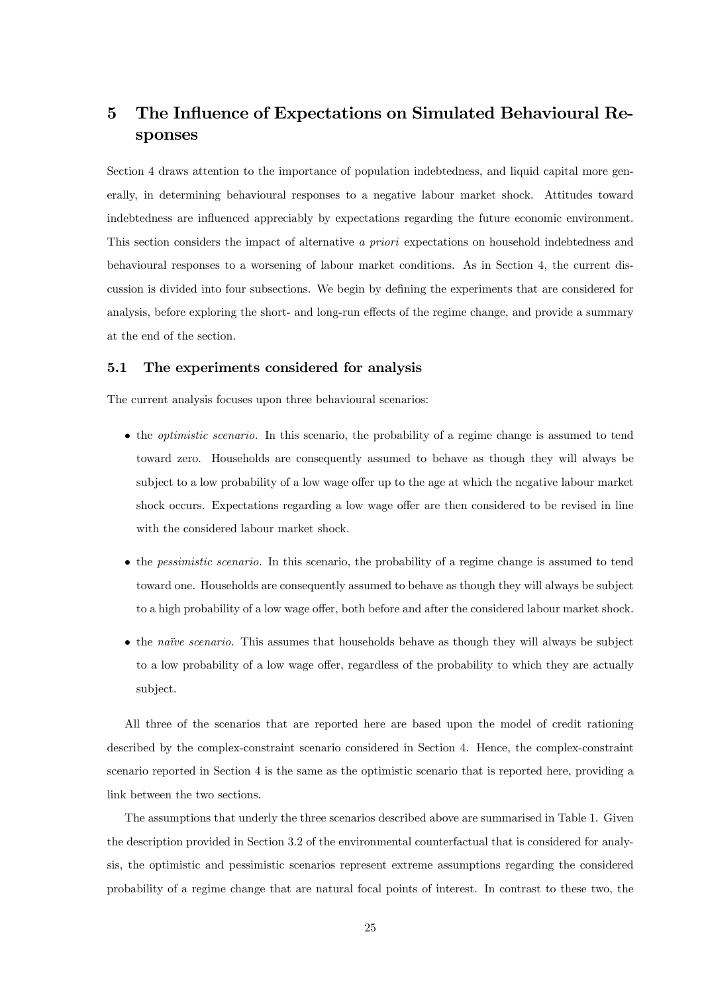# 5 The Influence of Expectations on Simulated Behavioural Responses

Section 4 draws attention to the importance of population indebtedness, and liquid capital more generally, in determining behavioural responses to a negative labour market shock. Attitudes toward indebtedness are influenced appreciably by expectations regarding the future economic environment. This section considers the impact of alternative a priori expectations on household indebtedness and behavioural responses to a worsening of labour market conditions. As in Section 4, the current discussion is divided into four subsections. We begin by defining the experiments that are considered for analysis, before exploring the short- and long-run effects of the regime change, and provide a summary at the end of the section.

#### 5.1 The experiments considered for analysis

The current analysis focuses upon three behavioural scenarios:

- the optimistic scenario. In this scenario, the probability of a regime change is assumed to tend toward zero. Households are consequently assumed to behave as though they will always be subject to a low probability of a low wage offer up to the age at which the negative labour market shock occurs. Expectations regarding a low wage offer are then considered to be revised in line with the considered labour market shock.
- the pessimistic scenario. In this scenario, the probability of a regime change is assumed to tend toward one. Households are consequently assumed to behave as though they will always be subject to a high probability of a low wage offer, both before and after the considered labour market shock.
- the naïve scenario. This assumes that households behave as though they will always be subject to a low probability of a low wage offer, regardless of the probability to which they are actually subject.

All three of the scenarios that are reported here are based upon the model of credit rationing described by the complex-constraint scenario considered in Section 4. Hence, the complex-constraint scenario reported in Section 4 is the same as the optimistic scenario that is reported here, providing a link between the two sections.

The assumptions that underly the three scenarios described above are summarised in Table 1. Given the description provided in Section 3.2 of the environmental counterfactual that is considered for analysis, the optimistic and pessimistic scenarios represent extreme assumptions regarding the considered probability of a regime change that are natural focal points of interest. In contrast to these two, the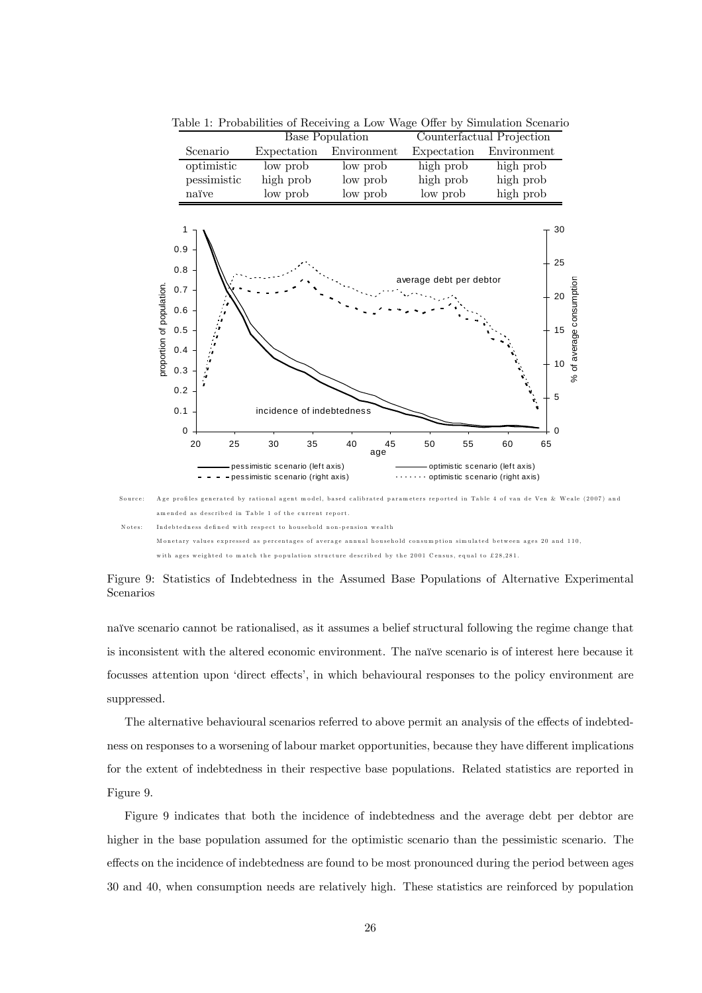|                           |                                                                                 | <b>Base Population</b>              |                 | Counterfactual Projection        |                                             |                          |
|---------------------------|---------------------------------------------------------------------------------|-------------------------------------|-----------------|----------------------------------|---------------------------------------------|--------------------------|
|                           | Scenario                                                                        | Expectation                         | Environment     | Expectation                      | Environment                                 |                          |
| proportion of population. | optimistic                                                                      | low prob                            | low prob        | high prob                        | high prob                                   |                          |
|                           | pessimistic                                                                     | high prob                           | low prob        | high prob                        | high prob                                   |                          |
|                           | naïve                                                                           | low prob                            | low prob        | low prob                         | high prob                                   |                          |
|                           | 1<br>0.9<br>0.8<br>0.7<br>0.6<br>0.5<br>0.4<br>0.3<br>0.2<br>0.1<br>$\mathbf 0$ | incidence of indebtedness           |                 | average debt per debtor          | 30<br>25<br>20<br>15<br>10<br>5<br>$\Omega$ | % of average consumption |
|                           | 20<br>25                                                                        | 30<br>35                            | 40<br>45<br>age | 55<br>50                         | 60<br>65                                    |                          |
|                           | pessimistic scenario (left axis)                                                |                                     |                 | optimistic scenario (left axis)  |                                             |                          |
|                           |                                                                                 | - pessimistic scenario (right axis) |                 | optimistic scenario (right axis) |                                             |                          |

Table 1: Probabilities of Receiving a Low Wage Offer by Simulation Scenario



with ages weighted to match the population structure described by the 2001 Census, equal to £28,281.

Figure 9: Statistics of Indebtedness in the Assumed Base Populations of Alternative Experimental Scenarios

naïve scenario cannot be rationalised, as it assumes a belief structural following the regime change that is inconsistent with the altered economic environment. The naïve scenario is of interest here because it focusses attention upon 'direct effects', in which behavioural responses to the policy environment are suppressed.

The alternative behavioural scenarios referred to above permit an analysis of the effects of indebtedness on responses to a worsening of labour market opportunities, because they have different implications for the extent of indebtedness in their respective base populations. Related statistics are reported in Figure 9.

Figure 9 indicates that both the incidence of indebtedness and the average debt per debtor are higher in the base population assumed for the optimistic scenario than the pessimistic scenario. The effects on the incidence of indebtedness are found to be most pronounced during the period between ages 30 and 40, when consumption needs are relatively high. These statistics are reinforced by population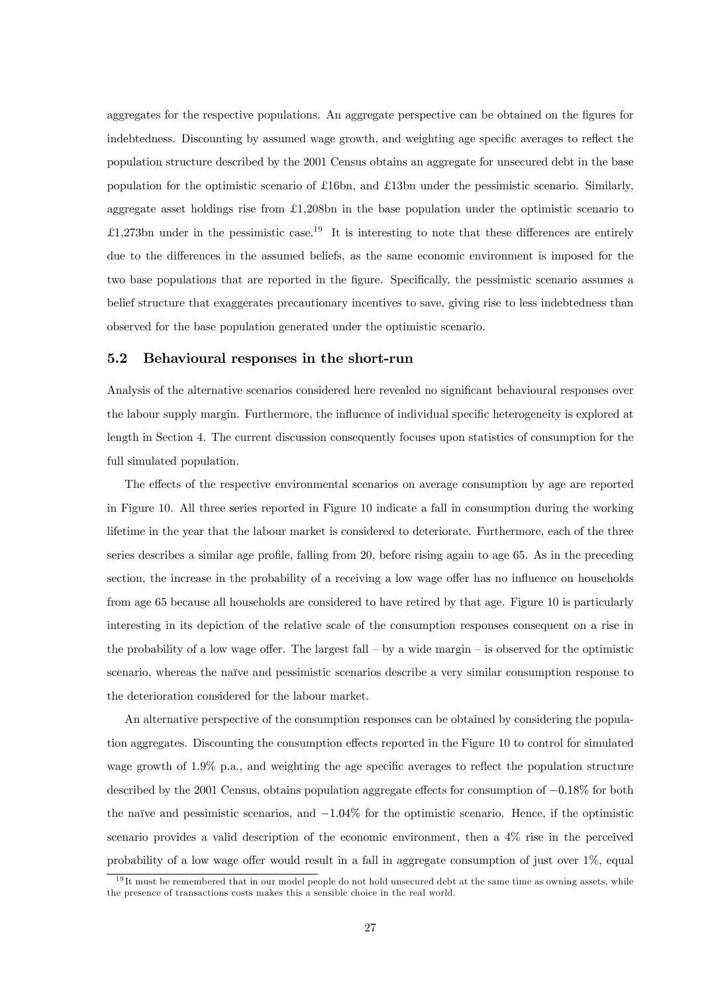aggregates for the respective populations. An aggregate perspective can be obtained on the figures for indebtedness. Discounting by assumed wage growth, and weighting age specific averages to reflect the population structure described by the 2001 Census obtains an aggregate for unsecured debt in the base population for the optimistic scenario of £16bn, and £13bn under the pessimistic scenario. Similarly, aggregate asset holdings rise from £1,208bn in the base population under the optimistic scenario to £1,273bn under in the pessimistic case.<sup>19</sup> It is interesting to note that these differences are entirely due to the differences in the assumed beliefs, as the same economic environment is imposed for the two base populations that are reported in the figure. Specifically, the pessimistic scenario assumes a belief structure that exaggerates precautionary incentives to save, giving rise to less indebtedness than observed for the base population generated under the optimistic scenario.

#### 5.2 Behavioural responses in the short-run

Analysis of the alternative scenarios considered here revealed no significant behavioural responses over the labour supply margin. Furthermore, the influence of individual specific heterogeneity is explored at length in Section 4. The current discussion consequently focuses upon statistics of consumption for the full simulated population.

The effects of the respective environmental scenarios on average consumption by age are reported in Figure 10. All three series reported in Figure 10 indicate a fall in consumption during the working lifetime in the year that the labour market is considered to deteriorate. Furthermore, each of the three series describes a similar age profile, falling from 20, before rising again to age 65. As in the preceding section, the increase in the probability of a receiving a low wage offer has no influence on households from age 65 because all households are considered to have retired by that age. Figure 10 is particularly interesting in its depiction of the relative scale of the consumption responses consequent on a rise in the probability of a low wage offer. The largest fall — by a wide margin — is observed for the optimistic scenario, whereas the naïve and pessimistic scenarios describe a very similar consumption response to the deterioration considered for the labour market.

An alternative perspective of the consumption responses can be obtained by considering the population aggregates. Discounting the consumption effects reported in the Figure 10 to control for simulated wage growth of 1.9% p.a., and weighting the age specific averages to reflect the population structure described by the 2001 Census, obtains population aggregate effects for consumption of −0.18% for both the naïve and pessimistic scenarios, and −1.04% for the optimistic scenario. Hence, if the optimistic scenario provides a valid description of the economic environment, then a 4% rise in the perceived probability of a low wage offer would result in a fall in aggregate consumption of just over 1%, equal

 $19$ It must be remembered that in our model people do not hold unsecured debt at the same time as owning assets, while the presence of transactions costs makes this a sensible choice in the real world.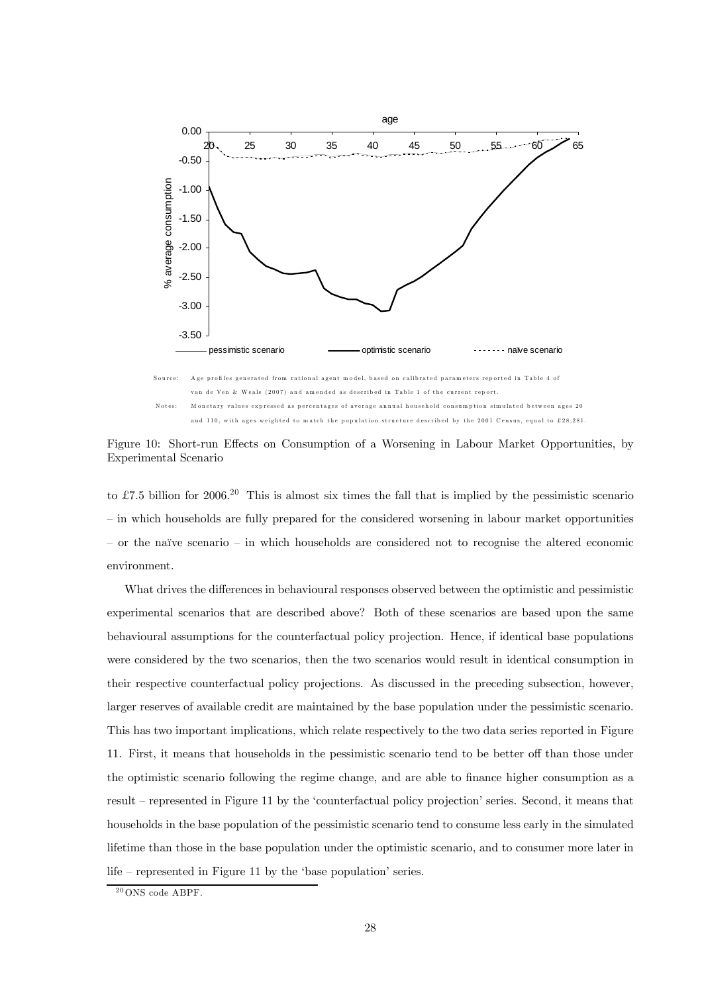

Figure 10: Short-run Effects on Consumption of a Worsening in Labour Market Opportunities, by Experimental Scenario

to £7.5 billion for 2006.<sup>20</sup> This is almost six times the fall that is implied by the pessimistic scenario — in which households are fully prepared for the considered worsening in labour market opportunities — or the naïve scenario — in which households are considered not to recognise the altered economic environment.

What drives the differences in behavioural responses observed between the optimistic and pessimistic experimental scenarios that are described above? Both of these scenarios are based upon the same behavioural assumptions for the counterfactual policy projection. Hence, if identical base populations were considered by the two scenarios, then the two scenarios would result in identical consumption in their respective counterfactual policy projections. As discussed in the preceding subsection, however, larger reserves of available credit are maintained by the base population under the pessimistic scenario. This has two important implications, which relate respectively to the two data series reported in Figure 11. First, it means that households in the pessimistic scenario tend to be better off than those under the optimistic scenario following the regime change, and are able to finance higher consumption as a result — represented in Figure 11 by the 'counterfactual policy projection' series. Second, it means that households in the base population of the pessimistic scenario tend to consume less early in the simulated lifetime than those in the base population under the optimistic scenario, and to consumer more later in life — represented in Figure 11 by the 'base population' series.

 $^{20}$ ONS code ABPF.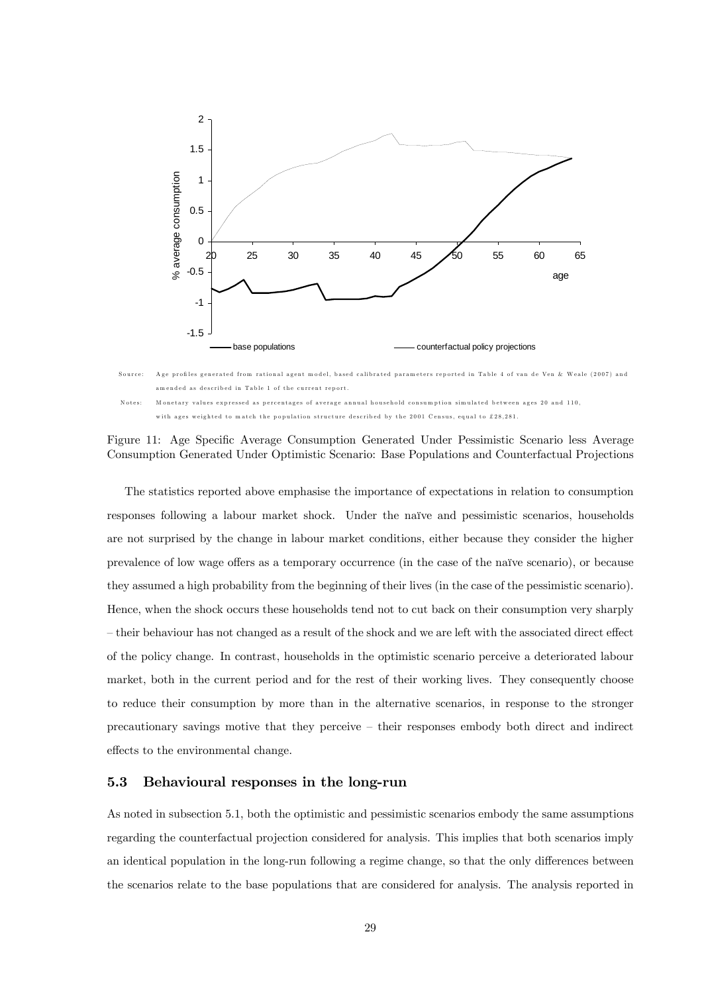

Figure 11: Age Specific Average Consumption Generated Under Pessimistic Scenario less Average Consumption Generated Under Optimistic Scenario: Base Populations and Counterfactual Projections

The statistics reported above emphasise the importance of expectations in relation to consumption responses following a labour market shock. Under the naïve and pessimistic scenarios, households are not surprised by the change in labour market conditions, either because they consider the higher prevalence of low wage offers as a temporary occurrence (in the case of the naïve scenario), or because they assumed a high probability from the beginning of their lives (in the case of the pessimistic scenario). Hence, when the shock occurs these households tend not to cut back on their consumption very sharply — their behaviour has not changed as a result of the shock and we are left with the associated direct effect of the policy change. In contrast, households in the optimistic scenario perceive a deteriorated labour market, both in the current period and for the rest of their working lives. They consequently choose to reduce their consumption by more than in the alternative scenarios, in response to the stronger precautionary savings motive that they perceive — their responses embody both direct and indirect effects to the environmental change.

### 5.3 Behavioural responses in the long-run

As noted in subsection 5.1, both the optimistic and pessimistic scenarios embody the same assumptions regarding the counterfactual projection considered for analysis. This implies that both scenarios imply an identical population in the long-run following a regime change, so that the only differences between the scenarios relate to the base populations that are considered for analysis. The analysis reported in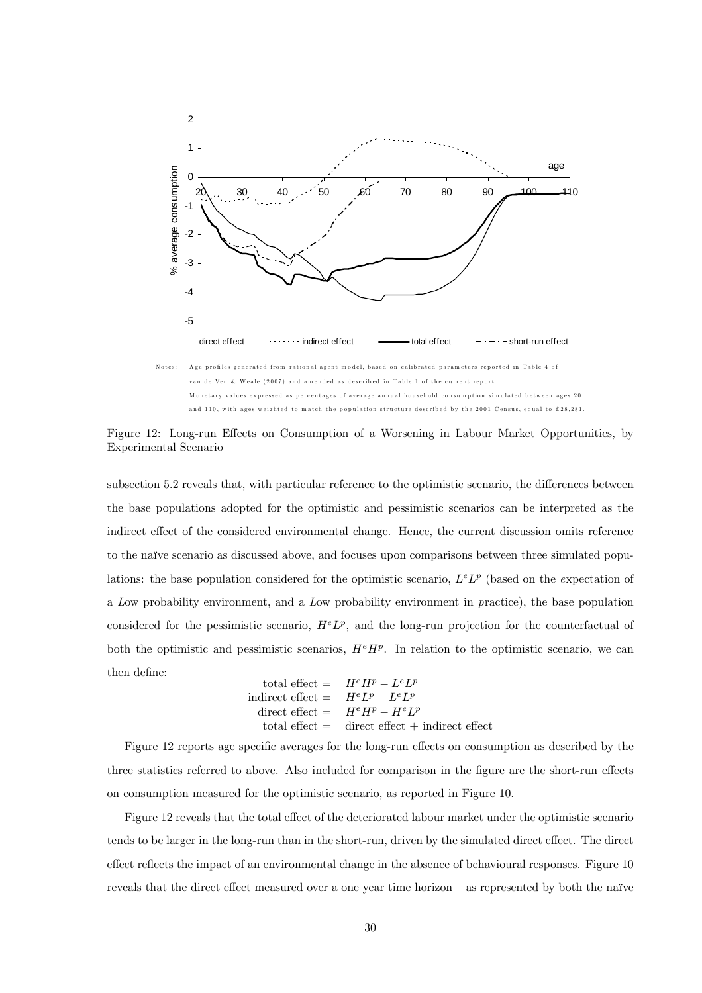

van de Ven & Weale (2007) and amended as described in Table 1 of the current report. M onetary values expressed as percentages of average annual household consum ption simulated between ages 20 and 110, with ages weighted to match the population structure described by the 2001 Census, equal to £28,281.

Figure 12: Long-run Effects on Consumption of a Worsening in Labour Market Opportunities, by Experimental Scenario

subsection 5.2 reveals that, with particular reference to the optimistic scenario, the differences between the base populations adopted for the optimistic and pessimistic scenarios can be interpreted as the indirect effect of the considered environmental change. Hence, the current discussion omits reference to the naïve scenario as discussed above, and focuses upon comparisons between three simulated populations: the base population considered for the optimistic scenario,  $L^eL^p$  (based on the expectation of a Low probability environment, and a Low probability environment in practice), the base population considered for the pessimistic scenario,  $H^eL^p$ , and the long-run projection for the counterfactual of both the optimistic and pessimistic scenarios,  $H^e H^p$ . In relation to the optimistic scenario, we can then define:

total effect = 
$$
H^eH^p - L^eL^p
$$
  
indirect effect =  $H^eL^p - L^eL^p$   
direct effect =  $H^eH^p - H^eL^p$   
total effect = direct effect + indirect effect

Figure 12 reports age specific averages for the long-run effects on consumption as described by the three statistics referred to above. Also included for comparison in the figure are the short-run effects on consumption measured for the optimistic scenario, as reported in Figure 10.

Figure 12 reveals that the total effect of the deteriorated labour market under the optimistic scenario tends to be larger in the long-run than in the short-run, driven by the simulated direct effect. The direct effect reflects the impact of an environmental change in the absence of behavioural responses. Figure 10 reveals that the direct effect measured over a one year time horizon — as represented by both the naïve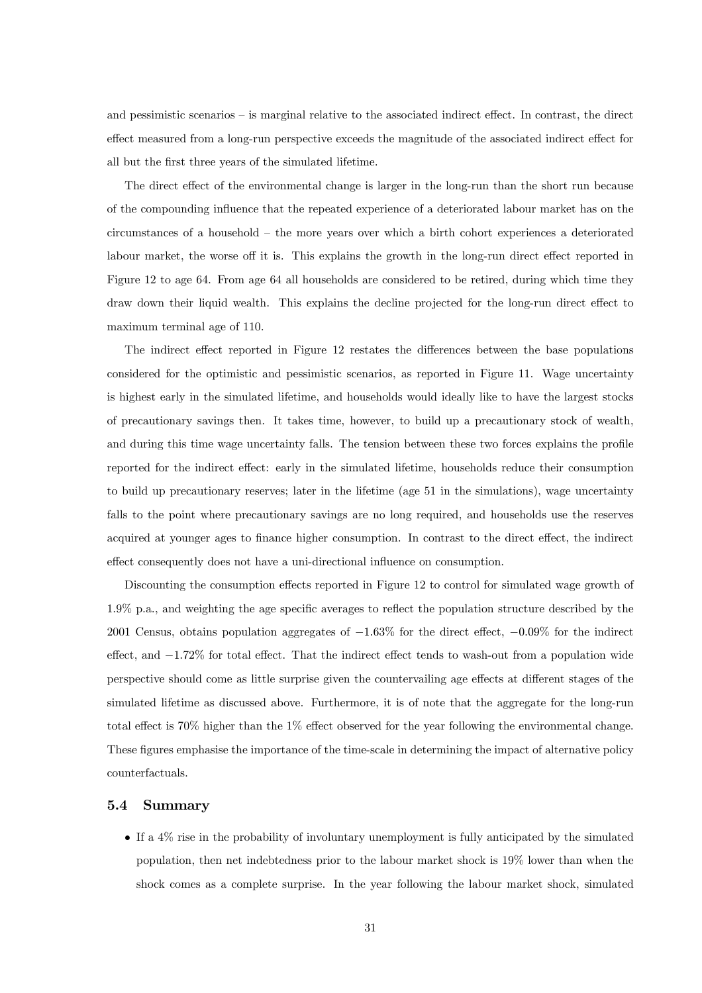and pessimistic scenarios — is marginal relative to the associated indirect effect. In contrast, the direct effect measured from a long-run perspective exceeds the magnitude of the associated indirect effect for all but the first three years of the simulated lifetime.

The direct effect of the environmental change is larger in the long-run than the short run because of the compounding influence that the repeated experience of a deteriorated labour market has on the circumstances of a household — the more years over which a birth cohort experiences a deteriorated labour market, the worse off it is. This explains the growth in the long-run direct effect reported in Figure 12 to age 64. From age 64 all households are considered to be retired, during which time they draw down their liquid wealth. This explains the decline projected for the long-run direct effect to maximum terminal age of 110.

The indirect effect reported in Figure 12 restates the differences between the base populations considered for the optimistic and pessimistic scenarios, as reported in Figure 11. Wage uncertainty is highest early in the simulated lifetime, and households would ideally like to have the largest stocks of precautionary savings then. It takes time, however, to build up a precautionary stock of wealth, and during this time wage uncertainty falls. The tension between these two forces explains the profile reported for the indirect effect: early in the simulated lifetime, households reduce their consumption to build up precautionary reserves; later in the lifetime (age 51 in the simulations), wage uncertainty falls to the point where precautionary savings are no long required, and households use the reserves acquired at younger ages to finance higher consumption. In contrast to the direct effect, the indirect effect consequently does not have a uni-directional influence on consumption.

Discounting the consumption effects reported in Figure 12 to control for simulated wage growth of 1.9% p.a., and weighting the age specific averages to reflect the population structure described by the 2001 Census, obtains population aggregates of −1.63% for the direct effect, −0.09% for the indirect effect, and −1.72% for total effect. That the indirect effect tends to wash-out from a population wide perspective should come as little surprise given the countervailing age effects at different stages of the simulated lifetime as discussed above. Furthermore, it is of note that the aggregate for the long-run total effect is 70% higher than the 1% effect observed for the year following the environmental change. These figures emphasise the importance of the time-scale in determining the impact of alternative policy counterfactuals.

#### 5.4 Summary

• If a 4% rise in the probability of involuntary unemployment is fully anticipated by the simulated population, then net indebtedness prior to the labour market shock is 19% lower than when the shock comes as a complete surprise. In the year following the labour market shock, simulated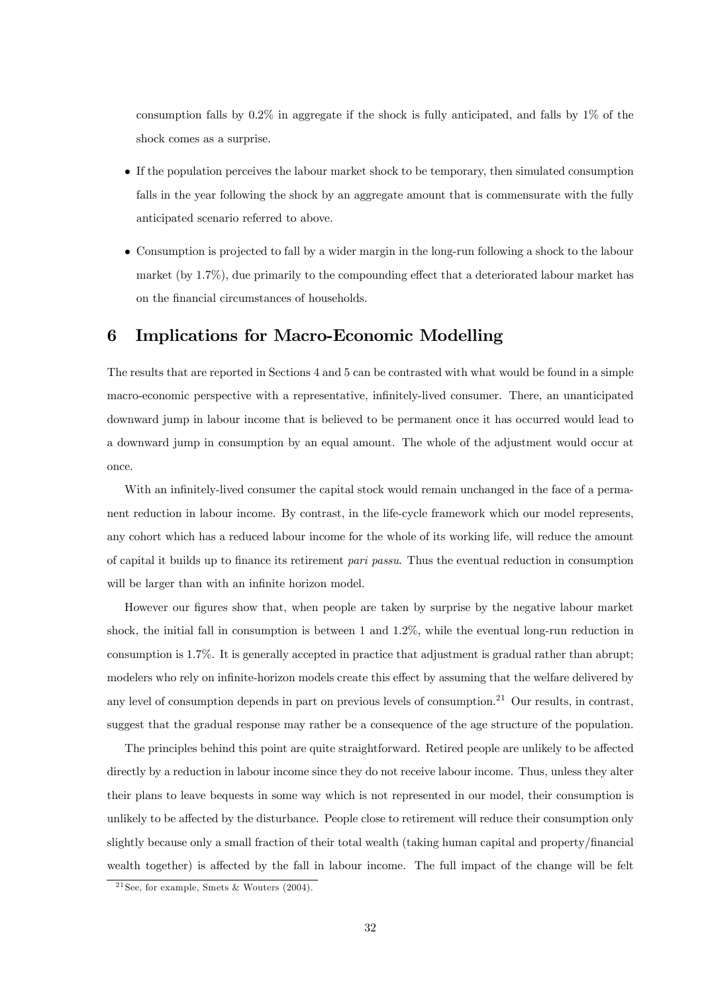consumption falls by  $0.2\%$  in aggregate if the shock is fully anticipated, and falls by  $1\%$  of the shock comes as a surprise.

- If the population perceives the labour market shock to be temporary, then simulated consumption falls in the year following the shock by an aggregate amount that is commensurate with the fully anticipated scenario referred to above.
- Consumption is projected to fall by a wider margin in the long-run following a shock to the labour market (by 1.7%), due primarily to the compounding effect that a deteriorated labour market has on the financial circumstances of households.

## 6 Implications for Macro-Economic Modelling

The results that are reported in Sections 4 and 5 can be contrasted with what would be found in a simple macro-economic perspective with a representative, infinitely-lived consumer. There, an unanticipated downward jump in labour income that is believed to be permanent once it has occurred would lead to a downward jump in consumption by an equal amount. The whole of the adjustment would occur at once.

With an infinitely-lived consumer the capital stock would remain unchanged in the face of a permanent reduction in labour income. By contrast, in the life-cycle framework which our model represents, any cohort which has a reduced labour income for the whole of its working life, will reduce the amount of capital it builds up to finance its retirement pari passu. Thus the eventual reduction in consumption will be larger than with an infinite horizon model.

However our figures show that, when people are taken by surprise by the negative labour market shock, the initial fall in consumption is between 1 and 1.2%, while the eventual long-run reduction in consumption is 1.7%. It is generally accepted in practice that adjustment is gradual rather than abrupt; modelers who rely on infinite-horizon models create this effect by assuming that the welfare delivered by any level of consumption depends in part on previous levels of consumption.21 Our results, in contrast, suggest that the gradual response may rather be a consequence of the age structure of the population.

The principles behind this point are quite straightforward. Retired people are unlikely to be affected directly by a reduction in labour income since they do not receive labour income. Thus, unless they alter their plans to leave bequests in some way which is not represented in our model, their consumption is unlikely to be affected by the disturbance. People close to retirement will reduce their consumption only slightly because only a small fraction of their total wealth (taking human capital and property/financial wealth together) is affected by the fall in labour income. The full impact of the change will be felt

<sup>&</sup>lt;sup>21</sup> See, for example, Smets & Wouters  $(2004)$ .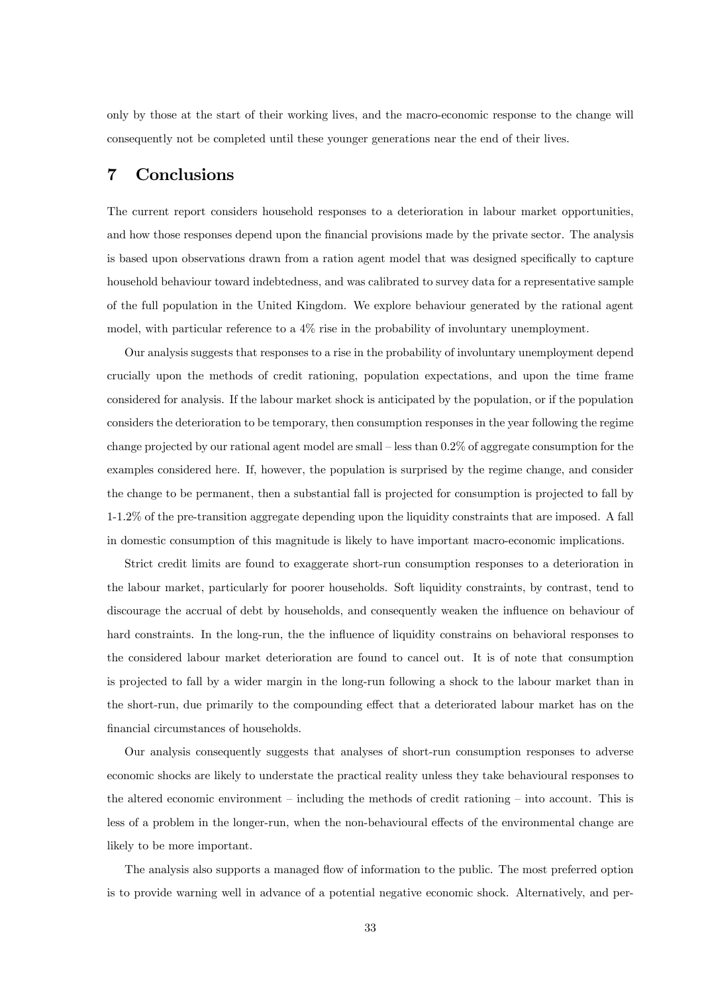only by those at the start of their working lives, and the macro-economic response to the change will consequently not be completed until these younger generations near the end of their lives.

# 7 Conclusions

The current report considers household responses to a deterioration in labour market opportunities, and how those responses depend upon the financial provisions made by the private sector. The analysis is based upon observations drawn from a ration agent model that was designed specifically to capture household behaviour toward indebtedness, and was calibrated to survey data for a representative sample of the full population in the United Kingdom. We explore behaviour generated by the rational agent model, with particular reference to a 4% rise in the probability of involuntary unemployment.

Our analysis suggests that responses to a rise in the probability of involuntary unemployment depend crucially upon the methods of credit rationing, population expectations, and upon the time frame considered for analysis. If the labour market shock is anticipated by the population, or if the population considers the deterioration to be temporary, then consumption responses in the year following the regime change projected by our rational agent model are small — less than 0.2% of aggregate consumption for the examples considered here. If, however, the population is surprised by the regime change, and consider the change to be permanent, then a substantial fall is projected for consumption is projected to fall by 1-1.2% of the pre-transition aggregate depending upon the liquidity constraints that are imposed. A fall in domestic consumption of this magnitude is likely to have important macro-economic implications.

Strict credit limits are found to exaggerate short-run consumption responses to a deterioration in the labour market, particularly for poorer households. Soft liquidity constraints, by contrast, tend to discourage the accrual of debt by households, and consequently weaken the influence on behaviour of hard constraints. In the long-run, the the influence of liquidity constrains on behavioral responses to the considered labour market deterioration are found to cancel out. It is of note that consumption is projected to fall by a wider margin in the long-run following a shock to the labour market than in the short-run, due primarily to the compounding effect that a deteriorated labour market has on the financial circumstances of households.

Our analysis consequently suggests that analyses of short-run consumption responses to adverse economic shocks are likely to understate the practical reality unless they take behavioural responses to the altered economic environment — including the methods of credit rationing — into account. This is less of a problem in the longer-run, when the non-behavioural effects of the environmental change are likely to be more important.

The analysis also supports a managed flow of information to the public. The most preferred option is to provide warning well in advance of a potential negative economic shock. Alternatively, and per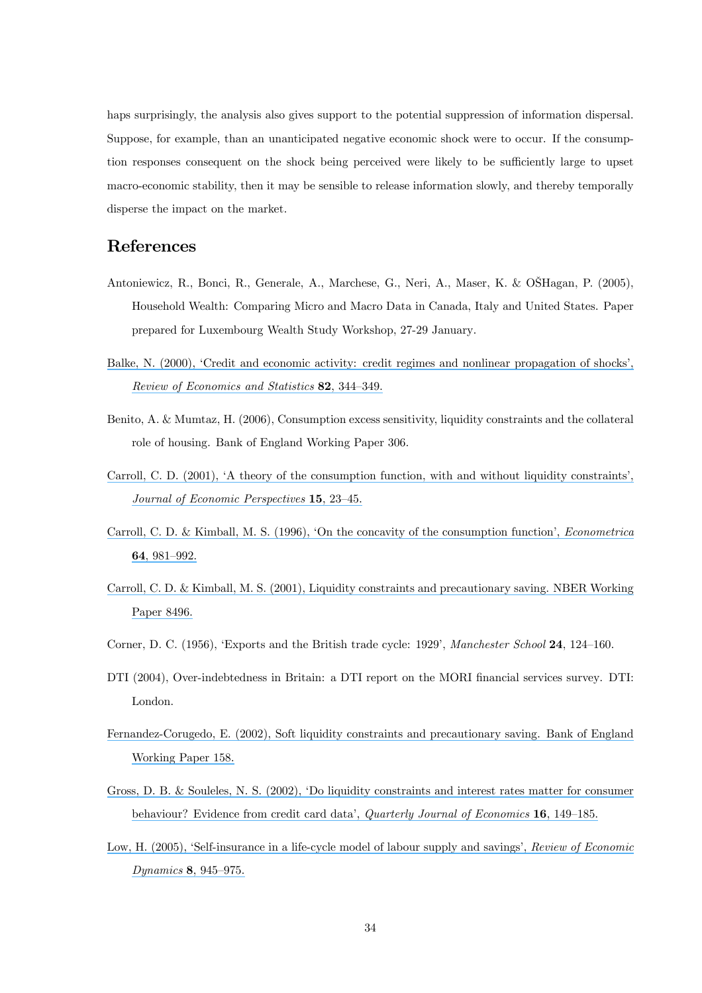haps surprisingly, the analysis also gives support to the potential suppression of information dispersal. Suppose, for example, than an unanticipated negative economic shock were to occur. If the consumption responses consequent on the shock being perceived were likely to be sufficiently large to upset macro-economic stability, then it may be sensible to release information slowly, and thereby temporally disperse the impact on the market.

# References

- Antoniewicz, R., Bonci, R., Generale, A., Marchese, G., Neri, A., Maser, K. & OŠHagan, P. (2005), Household Wealth: Comparing Micro and Macro Data in Canada, Italy and United States. Paper prepared for Luxembourg Wealth Study Workshop, 27-29 January.
- [Balke, N. \(2000\), 'Credit and economic activity: credit regimes and nonlinear propagation of shocks',](https://www.researchgate.net/publication/247712846_Credit_and_Economic_Activity_Credit_Regimes_and_Nonlinear_Propagation_of_Shocks?el=1_x_8&enrichId=rgreq-15c9e48b068511c7a462e67019249f79-XXX&enrichSource=Y292ZXJQYWdlOzUyMDA2NTg7QVM6OTkxNzIxNDEyNDAzNDhAMTQwMDY1NTg5MDM5Nw==) [Review of Economics and Statistics](https://www.researchgate.net/publication/247712846_Credit_and_Economic_Activity_Credit_Regimes_and_Nonlinear_Propagation_of_Shocks?el=1_x_8&enrichId=rgreq-15c9e48b068511c7a462e67019249f79-XXX&enrichSource=Y292ZXJQYWdlOzUyMDA2NTg7QVM6OTkxNzIxNDEyNDAzNDhAMTQwMDY1NTg5MDM5Nw==) 82, 344—349.
- Benito, A. & Mumtaz, H. (2006), Consumption excess sensitivity, liquidity constraints and the collateral role of housing. Bank of England Working Paper 306.
- [Carroll, C. D. \(2001\), 'A theory of the consumption function, with and without liquidity constraints',](https://www.researchgate.net/publication/280796729_A_Theory_of_the_Consumption_Function_with_and_without_Liquidity_Constraints?el=1_x_8&enrichId=rgreq-15c9e48b068511c7a462e67019249f79-XXX&enrichSource=Y292ZXJQYWdlOzUyMDA2NTg7QVM6OTkxNzIxNDEyNDAzNDhAMTQwMDY1NTg5MDM5Nw==) [Journal of Economic Perspectives](https://www.researchgate.net/publication/280796729_A_Theory_of_the_Consumption_Function_with_and_without_Liquidity_Constraints?el=1_x_8&enrichId=rgreq-15c9e48b068511c7a462e67019249f79-XXX&enrichSource=Y292ZXJQYWdlOzUyMDA2NTg7QVM6OTkxNzIxNDEyNDAzNDhAMTQwMDY1NTg5MDM5Nw==) 15, 23—45.
- [Carroll, C. D. & Kimball, M. S. \(1996\), 'On the concavity of the consumption function',](https://www.researchgate.net/publication/280685369_On_the_concavity_of_the_consumption_function?el=1_x_8&enrichId=rgreq-15c9e48b068511c7a462e67019249f79-XXX&enrichSource=Y292ZXJQYWdlOzUyMDA2NTg7QVM6OTkxNzIxNDEyNDAzNDhAMTQwMDY1NTg5MDM5Nw==) Econometrica 64[, 981—992.](https://www.researchgate.net/publication/280685369_On_the_concavity_of_the_consumption_function?el=1_x_8&enrichId=rgreq-15c9e48b068511c7a462e67019249f79-XXX&enrichSource=Y292ZXJQYWdlOzUyMDA2NTg7QVM6OTkxNzIxNDEyNDAzNDhAMTQwMDY1NTg5MDM5Nw==)
- [Carroll, C. D. & Kimball, M. S. \(2001\), Liquidity constraints and precautionary saving. NBER Working](https://www.researchgate.net/publication/5196468_Liquidity_Constraints_and_Precautionary_Saving?el=1_x_8&enrichId=rgreq-15c9e48b068511c7a462e67019249f79-XXX&enrichSource=Y292ZXJQYWdlOzUyMDA2NTg7QVM6OTkxNzIxNDEyNDAzNDhAMTQwMDY1NTg5MDM5Nw==) [Paper 8496.](https://www.researchgate.net/publication/5196468_Liquidity_Constraints_and_Precautionary_Saving?el=1_x_8&enrichId=rgreq-15c9e48b068511c7a462e67019249f79-XXX&enrichSource=Y292ZXJQYWdlOzUyMDA2NTg7QVM6OTkxNzIxNDEyNDAzNDhAMTQwMDY1NTg5MDM5Nw==)
- Corner, D. C. (1956), 'Exports and the British trade cycle: 1929', Manchester School 24, 124–160.
- DTI (2004), Over-indebtedness in Britain: a DTI report on the MORI financial services survey. DTI: London.
- [Fernandez-Corugedo, E. \(2002\), Soft liquidity constraints and precautionary saving. Bank of England](https://www.researchgate.net/publication/4796176_Soft_Liquidity_Constraints_and_Precautionary_Saving?el=1_x_8&enrichId=rgreq-15c9e48b068511c7a462e67019249f79-XXX&enrichSource=Y292ZXJQYWdlOzUyMDA2NTg7QVM6OTkxNzIxNDEyNDAzNDhAMTQwMDY1NTg5MDM5Nw==) [Working Paper 158.](https://www.researchgate.net/publication/4796176_Soft_Liquidity_Constraints_and_Precautionary_Saving?el=1_x_8&enrichId=rgreq-15c9e48b068511c7a462e67019249f79-XXX&enrichSource=Y292ZXJQYWdlOzUyMDA2NTg7QVM6OTkxNzIxNDEyNDAzNDhAMTQwMDY1NTg5MDM5Nw==)
- [Gross, D. B. & Souleles, N. S. \(2002\), 'Do liquidity constraints and interest rates matter for consumer](https://www.researchgate.net/publication/24091769_Do_Liquidity_Constraints_And_Interest_Rates_Matter_For_Consumer_Behavior_Evidence_From_Credit_Card_Data?el=1_x_8&enrichId=rgreq-15c9e48b068511c7a462e67019249f79-XXX&enrichSource=Y292ZXJQYWdlOzUyMDA2NTg7QVM6OTkxNzIxNDEyNDAzNDhAMTQwMDY1NTg5MDM5Nw==) [behaviour? Evidence from credit card data',](https://www.researchgate.net/publication/24091769_Do_Liquidity_Constraints_And_Interest_Rates_Matter_For_Consumer_Behavior_Evidence_From_Credit_Card_Data?el=1_x_8&enrichId=rgreq-15c9e48b068511c7a462e67019249f79-XXX&enrichSource=Y292ZXJQYWdlOzUyMDA2NTg7QVM6OTkxNzIxNDEyNDAzNDhAMTQwMDY1NTg5MDM5Nw==) *Quarterly Journal of Economics* **16**, 149–185.
- [Low, H. \(2005\), 'Self-insurance in a life-cycle model of labour supply and savings',](https://www.researchgate.net/publication/24047206_Self-Insurance_in_a_Life-Cycle_Model_of_Labor_Supply_and_Savings?el=1_x_8&enrichId=rgreq-15c9e48b068511c7a462e67019249f79-XXX&enrichSource=Y292ZXJQYWdlOzUyMDA2NTg7QVM6OTkxNzIxNDEyNDAzNDhAMTQwMDY1NTg5MDM5Nw==) Review of Economic Dynamics 8[, 945—975.](https://www.researchgate.net/publication/24047206_Self-Insurance_in_a_Life-Cycle_Model_of_Labor_Supply_and_Savings?el=1_x_8&enrichId=rgreq-15c9e48b068511c7a462e67019249f79-XXX&enrichSource=Y292ZXJQYWdlOzUyMDA2NTg7QVM6OTkxNzIxNDEyNDAzNDhAMTQwMDY1NTg5MDM5Nw==)